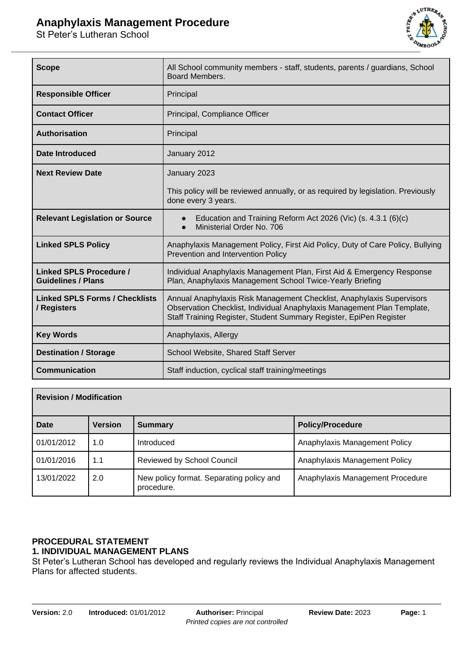# **Anaphylaxis Management Procedure**

St Peter's Lutheran School



| <b>Scope</b>                                                | All School community members - staff, students, parents / guardians, School<br>Board Members.                                                                                                                          |  |
|-------------------------------------------------------------|------------------------------------------------------------------------------------------------------------------------------------------------------------------------------------------------------------------------|--|
| <b>Responsible Officer</b>                                  | Principal                                                                                                                                                                                                              |  |
| <b>Contact Officer</b>                                      | Principal, Compliance Officer                                                                                                                                                                                          |  |
| <b>Authorisation</b>                                        | Principal                                                                                                                                                                                                              |  |
| Date Introduced                                             | January 2012                                                                                                                                                                                                           |  |
| <b>Next Review Date</b>                                     | January 2023                                                                                                                                                                                                           |  |
|                                                             | This policy will be reviewed annually, or as required by legislation. Previously<br>done every 3 years.                                                                                                                |  |
| <b>Relevant Legislation or Source</b>                       | Education and Training Reform Act 2026 (Vic) (s. 4.3.1 (6)(c)<br>Ministerial Order No. 706                                                                                                                             |  |
| <b>Linked SPLS Policy</b>                                   | Anaphylaxis Management Policy, First Aid Policy, Duty of Care Policy, Bullying<br>Prevention and Intervention Policy                                                                                                   |  |
| <b>Linked SPLS Procedure /</b><br><b>Guidelines / Plans</b> | Individual Anaphylaxis Management Plan, First Aid & Emergency Response<br>Plan, Anaphylaxis Management School Twice-Yearly Briefing                                                                                    |  |
| <b>Linked SPLS Forms / Checklists</b><br>/ Registers        | Annual Anaphylaxis Risk Management Checklist, Anaphylaxis Supervisors<br>Observation Checklist, Individual Anaphylaxis Management Plan Template,<br>Staff Training Register, Student Summary Register, EpiPen Register |  |
| <b>Key Words</b>                                            | Anaphylaxis, Allergy                                                                                                                                                                                                   |  |
| <b>Destination / Storage</b>                                | School Website, Shared Staff Server                                                                                                                                                                                    |  |
| <b>Communication</b>                                        | Staff induction, cyclical staff training/meetings                                                                                                                                                                      |  |

| <b>Revision / Modification</b> |                |                                                        |                                  |
|--------------------------------|----------------|--------------------------------------------------------|----------------------------------|
| Date                           | <b>Version</b> | <b>Summary</b>                                         | <b>Policy/Procedure</b>          |
| 01/01/2012                     | 1.0            | Introduced                                             | Anaphylaxis Management Policy    |
| 01/01/2016                     | 1.1            | <b>Reviewed by School Council</b>                      | Anaphylaxis Management Policy    |
| 13/01/2022                     | 2.0            | New policy format. Separating policy and<br>procedure. | Anaphylaxis Management Procedure |

#### **PROCEDURAL STATEMENT 1. INDIVIDUAL MANAGEMENT PLANS**

St Peter's Lutheran School has developed and regularly reviews the Individual Anaphylaxis Management Plans for affected students.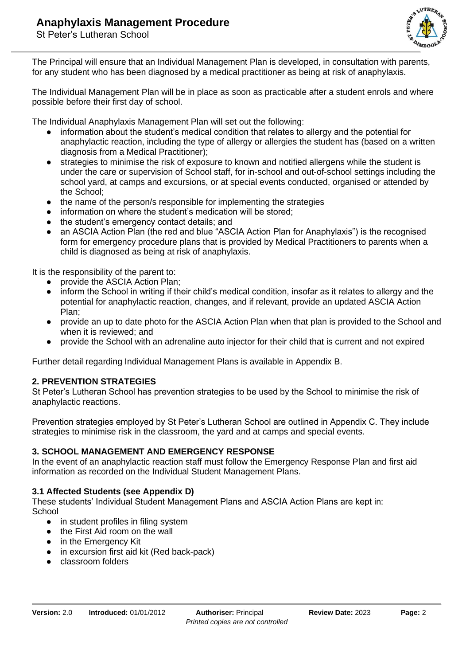

The Principal will ensure that an Individual Management Plan is developed, in consultation with parents, for any student who has been diagnosed by a medical practitioner as being at risk of anaphylaxis.

The Individual Management Plan will be in place as soon as practicable after a student enrols and where possible before their first day of school.

The Individual Anaphylaxis Management Plan will set out the following:

- information about the student's medical condition that relates to allergy and the potential for anaphylactic reaction, including the type of allergy or allergies the student has (based on a written diagnosis from a Medical Practitioner);
- strategies to minimise the risk of exposure to known and notified allergens while the student is under the care or supervision of School staff, for in-school and out-of-school settings including the school yard, at camps and excursions, or at special events conducted, organised or attended by the School;
- the name of the person/s responsible for implementing the strategies
- information on where the student's medication will be stored;
- the student's emergency contact details; and
- an ASCIA Action Plan (the red and blue "ASCIA Action Plan for Anaphylaxis") is the recognised form for emergency procedure plans that is provided by Medical Practitioners to parents when a child is diagnosed as being at risk of anaphylaxis.

It is the responsibility of the parent to:

- provide the ASCIA Action Plan:
- inform the School in writing if their child's medical condition, insofar as it relates to allergy and the potential for anaphylactic reaction, changes, and if relevant, provide an updated ASCIA Action Plan;
- provide an up to date photo for the ASCIA Action Plan when that plan is provided to the School and when it is reviewed; and
- provide the School with an adrenaline auto injector for their child that is current and not expired

Further detail regarding Individual Management Plans is available in Appendix B.

## **2. PREVENTION STRATEGIES**

St Peter's Lutheran School has prevention strategies to be used by the School to minimise the risk of anaphylactic reactions.

Prevention strategies employed by St Peter's Lutheran School are outlined in Appendix C. They include strategies to minimise risk in the classroom, the yard and at camps and special events.

#### **3. SCHOOL MANAGEMENT AND EMERGENCY RESPONSE**

In the event of an anaphylactic reaction staff must follow the Emergency Response Plan and first aid information as recorded on the Individual Student Management Plans.

#### **3.1 Affected Students (see Appendix D)**

These students' Individual Student Management Plans and ASCIA Action Plans are kept in: **School** 

- in student profiles in filing system
- the First Aid room on the wall
- in the Emergency Kit
- in excursion first aid kit (Red back-pack)
- classroom folders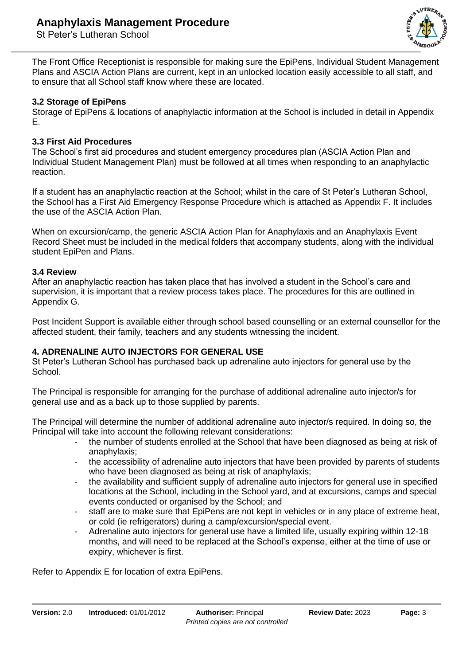

The Front Office Receptionist is responsible for making sure the EpiPens, Individual Student Management Plans and ASCIA Action Plans are current, kept in an unlocked location easily accessible to all staff, and to ensure that all School staff know where these are located.

### **3.2 Storage of EpiPens**

Storage of EpiPens & locations of anaphylactic information at the School is included in detail in Appendix E.

#### **3.3 First Aid Procedures**

The School's first aid procedures and student emergency procedures plan (ASCIA Action Plan and Individual Student Management Plan) must be followed at all times when responding to an anaphylactic reaction.

If a student has an anaphylactic reaction at the School; whilst in the care of St Peter's Lutheran School, the School has a First Aid Emergency Response Procedure which is attached as Appendix F. It includes the use of the ASCIA Action Plan.

When on excursion/camp, the generic ASCIA Action Plan for Anaphylaxis and an Anaphylaxis Event Record Sheet must be included in the medical folders that accompany students, along with the individual student EpiPen and Plans.

#### **3.4 Review**

After an anaphylactic reaction has taken place that has involved a student in the School's care and supervision, it is important that a review process takes place. The procedures for this are outlined in Appendix G.

Post Incident Support is available either through school based counselling or an external counsellor for the affected student, their family, teachers and any students witnessing the incident.

#### **4. ADRENALINE AUTO INJECTORS FOR GENERAL USE**

St Peter's Lutheran School has purchased back up adrenaline auto injectors for general use by the School.

The Principal is responsible for arranging for the purchase of additional adrenaline auto injector/s for general use and as a back up to those supplied by parents.

The Principal will determine the number of additional adrenaline auto injector/s required. In doing so, the Principal will take into account the following relevant considerations:

- the number of students enrolled at the School that have been diagnosed as being at risk of anaphylaxis;
- the accessibility of adrenaline auto injectors that have been provided by parents of students who have been diagnosed as being at risk of anaphylaxis;
- the availability and sufficient supply of adrenaline auto injectors for general use in specified locations at the School, including in the School yard, and at excursions, camps and special events conducted or organised by the School; and
- staff are to make sure that EpiPens are not kept in vehicles or in any place of extreme heat, or cold (ie refrigerators) during a camp/excursion/special event.
- Adrenaline auto injectors for general use have a limited life, usually expiring within 12-18 months, and will need to be replaced at the School's expense, either at the time of use or expiry, whichever is first.

Refer to Appendix E for location of extra EpiPens.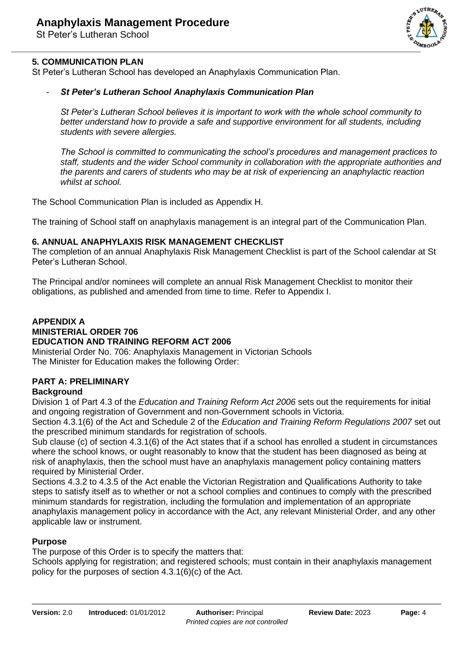

## **5. COMMUNICATION PLAN**

St Peter's Lutheran School has developed an Anaphylaxis Communication Plan.

#### - *St Peter's Lutheran School Anaphylaxis Communication Plan*

*St Peter's Lutheran School believes it is important to work with the whole school community to better understand how to provide a safe and supportive environment for all students, including students with severe allergies.*

*The School is committed to communicating the school's procedures and management practices to staff, students and the wider School community in collaboration with the appropriate authorities and the parents and carers of students who may be at risk of experiencing an anaphylactic reaction whilst at school.*

The School Communication Plan is included as Appendix H.

The training of School staff on anaphylaxis management is an integral part of the Communication Plan.

#### **6. ANNUAL ANAPHYLAXIS RISK MANAGEMENT CHECKLIST**

The completion of an annual Anaphylaxis Risk Management Checklist is part of the School calendar at St Peter's Lutheran School.

The Principal and/or nominees will complete an annual Risk Management Checklist to monitor their obligations, as published and amended from time to time. Refer to Appendix I.

#### **APPENDIX A MINISTERIAL ORDER 706 EDUCATION AND TRAINING REFORM ACT 2006**

Ministerial Order No. 706: Anaphylaxis Management in Victorian Schools The Minister for Education makes the following Order:

## **PART A: PRELIMINARY**

#### **Background**

Division 1 of Part 4.3 of the *Education and Training Reform Act 2006* sets out the requirements for initial and ongoing registration of Government and non-Government schools in Victoria.

Section 4.3.1(6) of the Act and Schedule 2 of the *Education and Training Reform Regulations 2007* set out the prescribed minimum standards for registration of schools.

Sub clause (c) of section 4.3.1(6) of the Act states that if a school has enrolled a student in circumstances where the school knows, or ought reasonably to know that the student has been diagnosed as being at risk of anaphylaxis, then the school must have an anaphylaxis management policy containing matters required by Ministerial Order.

Sections 4.3.2 to 4.3.5 of the Act enable the Victorian Registration and Qualifications Authority to take steps to satisfy itself as to whether or not a school complies and continues to comply with the prescribed minimum standards for registration, including the formulation and implementation of an appropriate anaphylaxis management policy in accordance with the Act, any relevant Ministerial Order, and any other applicable law or instrument.

#### **Purpose**

The purpose of this Order is to specify the matters that:

Schools applying for registration; and registered schools; must contain in their anaphylaxis management policy for the purposes of section 4.3.1(6)(c) of the Act.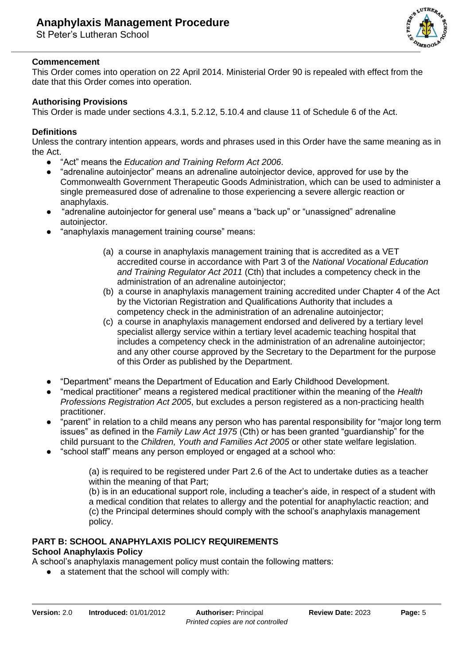

### **Commencement**

This Order comes into operation on 22 April 2014. Ministerial Order 90 is repealed with effect from the date that this Order comes into operation.

## **Authorising Provisions**

This Order is made under sections 4.3.1, 5.2.12, 5.10.4 and clause 11 of Schedule 6 of the Act.

## **Definitions**

Unless the contrary intention appears, words and phrases used in this Order have the same meaning as in the Act.

- "Act" means the *Education and Training Reform Act 2006*.
- "adrenaline autoinjector" means an adrenaline autoinjector device, approved for use by the Commonwealth Government Therapeutic Goods Administration, which can be used to administer a single premeasured dose of adrenaline to those experiencing a severe allergic reaction or anaphylaxis.
- "adrenaline autoinjector for general use" means a "back up" or "unassigned" adrenaline autoinjector.
- "anaphylaxis management training course" means:
	- (a) a course in anaphylaxis management training that is accredited as a VET accredited course in accordance with Part 3 of the *National Vocational Education and Training Regulator Act 2011* (Cth) that includes a competency check in the administration of an adrenaline autoinjector;
	- (b) a course in anaphylaxis management training accredited under Chapter 4 of the Act by the Victorian Registration and Qualifications Authority that includes a competency check in the administration of an adrenaline autoinjector;
	- (c) a course in anaphylaxis management endorsed and delivered by a tertiary level specialist allergy service within a tertiary level academic teaching hospital that includes a competency check in the administration of an adrenaline autoinjector; and any other course approved by the Secretary to the Department for the purpose of this Order as published by the Department.
- "Department" means the Department of Education and Early Childhood Development.
- "medical practitioner" means a registered medical practitioner within the meaning of the *Health Professions Registration Act 2005*, but excludes a person registered as a non-practicing health practitioner.
- "parent" in relation to a child means any person who has parental responsibility for "maior long term issues" as defined in the *Family Law Act 1975* (Cth) or has been granted "guardianship" for the child pursuant to the *Children, Youth and Families Act 2005* or other state welfare legislation.
- "school staff" means any person employed or engaged at a school who:

(a) is required to be registered under Part 2.6 of the Act to undertake duties as a teacher within the meaning of that Part:

(b) is in an educational support role, including a teacher's aide, in respect of a student with a medical condition that relates to allergy and the potential for anaphylactic reaction; and (c) the Principal determines should comply with the school's anaphylaxis management policy.

## **PART B: SCHOOL ANAPHYLAXIS POLICY REQUIREMENTS**

## **School Anaphylaxis Policy**

A school's anaphylaxis management policy must contain the following matters:

● a statement that the school will comply with: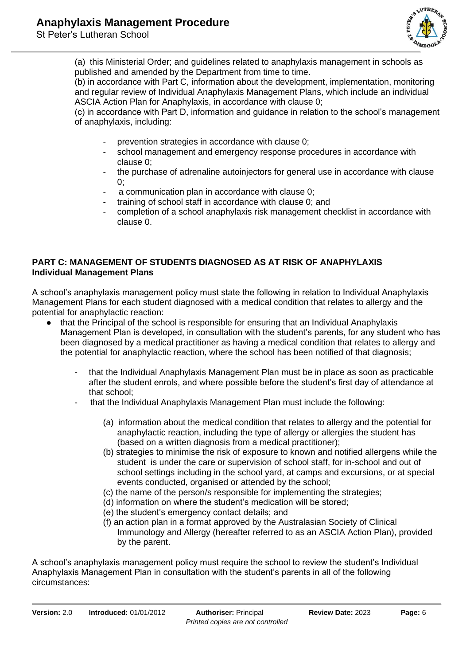

(a) this Ministerial Order; and guidelines related to anaphylaxis management in schools as published and amended by the Department from time to time.

(b) in accordance with Part C, information about the development, implementation, monitoring and regular review of Individual Anaphylaxis Management Plans, which include an individual ASCIA Action Plan for Anaphylaxis, in accordance with clause 0;

(c) in accordance with Part D, information and guidance in relation to the school's management of anaphylaxis, including:

- prevention strategies in accordance with clause 0;
- school management and emergency response procedures in accordance with clause 0;
- the purchase of adrenaline autoinjectors for general use in accordance with clause  $0$ :
- a communication plan in accordance with clause 0;
- training of school staff in accordance with clause 0; and
- completion of a school anaphylaxis risk management checklist in accordance with clause 0.

## **PART C: MANAGEMENT OF STUDENTS DIAGNOSED AS AT RISK OF ANAPHYLAXIS Individual Management Plans**

A school's anaphylaxis management policy must state the following in relation to Individual Anaphylaxis Management Plans for each student diagnosed with a medical condition that relates to allergy and the potential for anaphylactic reaction:

- that the Principal of the school is responsible for ensuring that an Individual Anaphylaxis Management Plan is developed, in consultation with the student's parents, for any student who has been diagnosed by a medical practitioner as having a medical condition that relates to allergy and the potential for anaphylactic reaction, where the school has been notified of that diagnosis;
	- that the Individual Anaphylaxis Management Plan must be in place as soon as practicable after the student enrols, and where possible before the student's first day of attendance at that school;
	- that the Individual Anaphylaxis Management Plan must include the following:
		- (a) information about the medical condition that relates to allergy and the potential for anaphylactic reaction, including the type of allergy or allergies the student has (based on a written diagnosis from a medical practitioner);
		- (b) strategies to minimise the risk of exposure to known and notified allergens while the student is under the care or supervision of school staff, for in-school and out of school settings including in the school yard, at camps and excursions, or at special events conducted, organised or attended by the school;
		- (c) the name of the person/s responsible for implementing the strategies;
		- (d) information on where the student's medication will be stored;
		- (e) the student's emergency contact details; and
		- (f) an action plan in a format approved by the Australasian Society of Clinical Immunology and Allergy (hereafter referred to as an ASCIA Action Plan), provided by the parent.

A school's anaphylaxis management policy must require the school to review the student's Individual Anaphylaxis Management Plan in consultation with the student's parents in all of the following circumstances: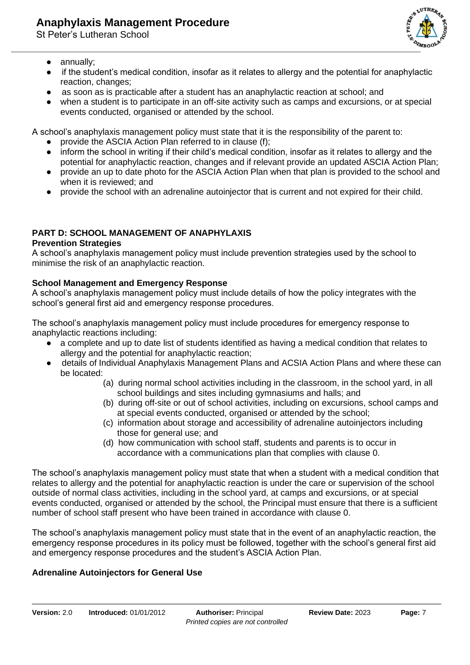

- annually:
- if the student's medical condition, insofar as it relates to allergy and the potential for anaphylactic reaction, changes;
- as soon as is practicable after a student has an anaphylactic reaction at school; and
- when a student is to participate in an off-site activity such as camps and excursions, or at special events conducted, organised or attended by the school.

A school's anaphylaxis management policy must state that it is the responsibility of the parent to:

- provide the ASCIA Action Plan referred to in clause (f);
- inform the school in writing if their child's medical condition, insofar as it relates to allergy and the potential for anaphylactic reaction, changes and if relevant provide an updated ASCIA Action Plan;
- provide an up to date photo for the ASCIA Action Plan when that plan is provided to the school and when it is reviewed; and
- provide the school with an adrenaline autoinjector that is current and not expired for their child.

## **PART D: SCHOOL MANAGEMENT OF ANAPHYLAXIS**

## **Prevention Strategies**

A school's anaphylaxis management policy must include prevention strategies used by the school to minimise the risk of an anaphylactic reaction.

## **School Management and Emergency Response**

A school's anaphylaxis management policy must include details of how the policy integrates with the school's general first aid and emergency response procedures.

The school's anaphylaxis management policy must include procedures for emergency response to anaphylactic reactions including:

- a complete and up to date list of students identified as having a medical condition that relates to allergy and the potential for anaphylactic reaction;
- details of Individual Anaphylaxis Management Plans and ACSIA Action Plans and where these can be located:
	- (a) during normal school activities including in the classroom, in the school yard, in all school buildings and sites including gymnasiums and halls; and
	- (b) during off-site or out of school activities, including on excursions, school camps and at special events conducted, organised or attended by the school;
	- (c) information about storage and accessibility of adrenaline autoinjectors including those for general use; and
	- (d) how communication with school staff, students and parents is to occur in accordance with a communications plan that complies with clause 0.

The school's anaphylaxis management policy must state that when a student with a medical condition that relates to allergy and the potential for anaphylactic reaction is under the care or supervision of the school outside of normal class activities, including in the school yard, at camps and excursions, or at special events conducted, organised or attended by the school, the Principal must ensure that there is a sufficient number of school staff present who have been trained in accordance with clause 0.

The school's anaphylaxis management policy must state that in the event of an anaphylactic reaction, the emergency response procedures in its policy must be followed, together with the school's general first aid and emergency response procedures and the student's ASCIA Action Plan.

## **Adrenaline Autoinjectors for General Use**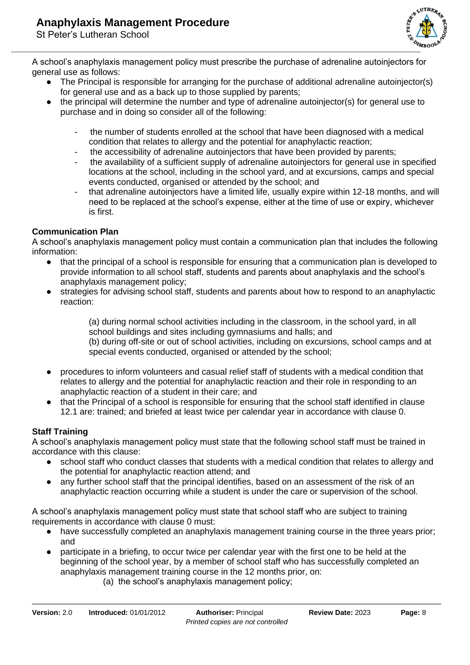

A school's anaphylaxis management policy must prescribe the purchase of adrenaline autoinjectors for general use as follows:

- The Principal is responsible for arranging for the purchase of additional adrenaline autoinjector(s) for general use and as a back up to those supplied by parents;
- the principal will determine the number and type of adrenaline autoinjector(s) for general use to purchase and in doing so consider all of the following:
	- the number of students enrolled at the school that have been diagnosed with a medical condition that relates to allergy and the potential for anaphylactic reaction;
	- the accessibility of adrenaline autoinjectors that have been provided by parents;
	- the availability of a sufficient supply of adrenaline autoinjectors for general use in specified locations at the school, including in the school yard, and at excursions, camps and special events conducted, organised or attended by the school; and
	- that adrenaline autoinjectors have a limited life, usually expire within 12-18 months, and will need to be replaced at the school's expense, either at the time of use or expiry, whichever is first.

## **Communication Plan**

A school's anaphylaxis management policy must contain a communication plan that includes the following information:

- that the principal of a school is responsible for ensuring that a communication plan is developed to provide information to all school staff, students and parents about anaphylaxis and the school's anaphylaxis management policy;
- strategies for advising school staff, students and parents about how to respond to an anaphylactic reaction:

(a) during normal school activities including in the classroom, in the school yard, in all school buildings and sites including gymnasiums and halls; and

(b) during off-site or out of school activities, including on excursions, school camps and at special events conducted, organised or attended by the school;

- procedures to inform volunteers and casual relief staff of students with a medical condition that relates to allergy and the potential for anaphylactic reaction and their role in responding to an anaphylactic reaction of a student in their care; and
- that the Principal of a school is responsible for ensuring that the school staff identified in clause 12.1 are: trained; and briefed at least twice per calendar year in accordance with clause 0.

## **Staff Training**

A school's anaphylaxis management policy must state that the following school staff must be trained in accordance with this clause:

- school staff who conduct classes that students with a medical condition that relates to allergy and the potential for anaphylactic reaction attend; and
- any further school staff that the principal identifies, based on an assessment of the risk of an anaphylactic reaction occurring while a student is under the care or supervision of the school.

A school's anaphylaxis management policy must state that school staff who are subject to training requirements in accordance with clause 0 must:

- have successfully completed an anaphylaxis management training course in the three years prior; and
- participate in a briefing, to occur twice per calendar year with the first one to be held at the beginning of the school year, by a member of school staff who has successfully completed an anaphylaxis management training course in the 12 months prior, on:
	- (a) the school's anaphylaxis management policy;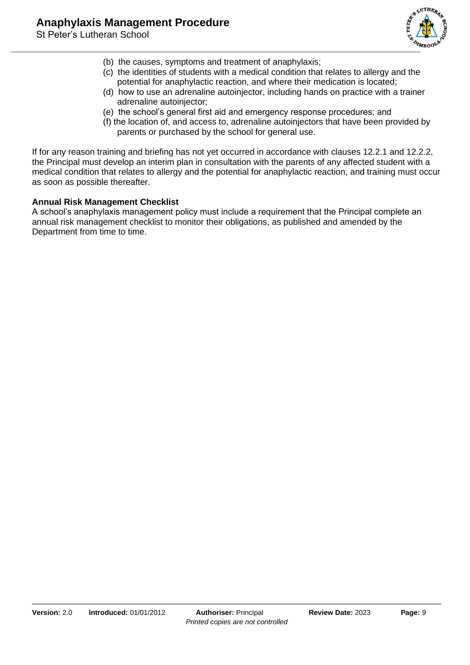

- (b) the causes, symptoms and treatment of anaphylaxis;
- (c) the identities of students with a medical condition that relates to allergy and the potential for anaphylactic reaction, and where their medication is located;
- (d) how to use an adrenaline autoinjector, including hands on practice with a trainer adrenaline autoinjector;
- (e) the school's general first aid and emergency response procedures; and
- (f) the location of, and access to, adrenaline autoinjectors that have been provided by parents or purchased by the school for general use.

If for any reason training and briefing has not yet occurred in accordance with clauses 12.2.1 and 12.2.2, the Principal must develop an interim plan in consultation with the parents of any affected student with a medical condition that relates to allergy and the potential for anaphylactic reaction, and training must occur as soon as possible thereafter.

## **Annual Risk Management Checklist**

A school's anaphylaxis management policy must include a requirement that the Principal complete an annual risk management checklist to monitor their obligations, as published and amended by the Department from time to time.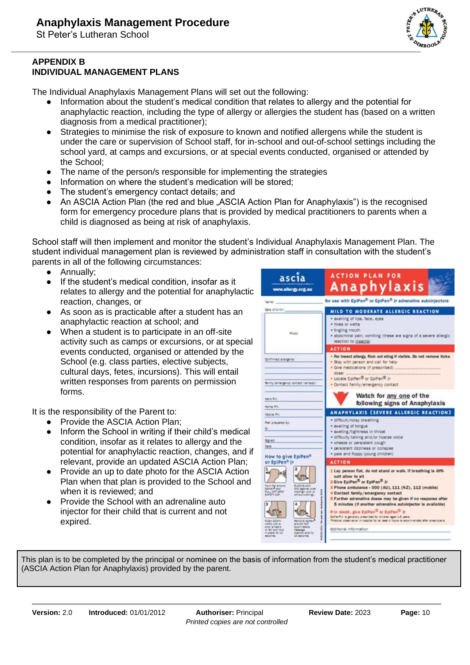

### **APPENDIX B INDIVIDUAL MANAGEMENT PLANS**

The Individual Anaphylaxis Management Plans will set out the following:

- Information about the student's medical condition that relates to allergy and the potential for anaphylactic reaction, including the type of allergy or allergies the student has (based on a written diagnosis from a medical practitioner);
- Strategies to minimise the risk of exposure to known and notified allergens while the student is under the care or supervision of School staff, for in-school and out-of-school settings including the school yard, at camps and excursions, or at special events conducted, organised or attended by the School;
- The name of the person/s responsible for implementing the strategies
- Information on where the student's medication will be stored;
- The student's emergency contact details; and
- An ASCIA Action Plan (the red and blue "ASCIA Action Plan for Anaphylaxis") is the recognised form for emergency procedure plans that is provided by medical practitioners to parents when a child is diagnosed as being at risk of anaphylaxis.

School staff will then implement and monitor the student's Individual Anaphylaxis Management Plan. The student individual management plan is reviewed by administration staff in consultation with the student's parents in all of the following circumstances:

- Annually;
- If the student's medical condition, insofar as it relates to allergy and the potential for anaphylactic reaction, changes, or
- As soon as is practicable after a student has an anaphylactic reaction at school; and
- When a student is to participate in an off-site activity such as camps or excursions, or at special events conducted, organised or attended by the School (e.g. class parties, elective subjects, cultural days, fetes, incursions). This will entail written responses from parents on permission forms.

It is the responsibility of the Parent to:

- Provide the ASCIA Action Plan:
- Inform the School in writing if their child's medical condition, insofar as it relates to allergy and the potential for anaphylactic reaction, changes, and if relevant, provide an updated ASCIA Action Plan;
- Provide an up to date photo for the ASCIA Action Plan when that plan is provided to the School and when it is reviewed; and
- Provide the School with an adrenaline auto injector for their child that is current and not expired.

| ascia<br>www.allergy.org.au                                                                                                                                                                                                                                                                                                                                                                                                                          | <b>ACTION PLAN FOR</b><br>Anaphylaxis                                                                                                                                                                                                                                                                                                                                                                                                                                                                                                                                                                                                                       |
|------------------------------------------------------------------------------------------------------------------------------------------------------------------------------------------------------------------------------------------------------------------------------------------------------------------------------------------------------------------------------------------------------------------------------------------------------|-------------------------------------------------------------------------------------------------------------------------------------------------------------------------------------------------------------------------------------------------------------------------------------------------------------------------------------------------------------------------------------------------------------------------------------------------------------------------------------------------------------------------------------------------------------------------------------------------------------------------------------------------------------|
| Nemer.                                                                                                                                                                                                                                                                                                                                                                                                                                               | for use with EpiPen <sup>®</sup> or EpiPen® Jr adrenaline autoinjectors                                                                                                                                                                                                                                                                                                                                                                                                                                                                                                                                                                                     |
| Data of timber.<br>Photo                                                                                                                                                                                                                                                                                                                                                                                                                             | MILD TO MODERATE ALLERGIC REACTION<br>· swelling of lips, face, eyes<br>· hives or welts<br>· tingling mouth<br>· abdominal pain, vomiting (these are signs of a severe allergic<br>reaction to insects)                                                                                                                                                                                                                                                                                                                                                                                                                                                    |
|                                                                                                                                                                                                                                                                                                                                                                                                                                                      | <b>ACTION</b>                                                                                                                                                                                                                                                                                                                                                                                                                                                                                                                                                                                                                                               |
| <b>Quiforned allergena:</b><br>Remly/amargancy contact name air                                                                                                                                                                                                                                                                                                                                                                                      | . For insect allergy, flick out sting if visible. Do not remove ticks.<br>. Stay with person and call for help<br>. Locate EpiPen® or EpiPen® Jr<br>· Contact family/emergency contact                                                                                                                                                                                                                                                                                                                                                                                                                                                                      |
| Viena Pro<br><b>North Pitt</b>                                                                                                                                                                                                                                                                                                                                                                                                                       | Watch for any one of the<br>following signs of Anaphylaxis                                                                                                                                                                                                                                                                                                                                                                                                                                                                                                                                                                                                  |
| Mobile Pitz                                                                                                                                                                                                                                                                                                                                                                                                                                          | ANAPHYLAXIS (SEVERE ALLERGIC REACTION)                                                                                                                                                                                                                                                                                                                                                                                                                                                                                                                                                                                                                      |
| Pan prepared by:<br>b.<br>50140<br>Date<br>How to give EpiPen <sup>®</sup>                                                                                                                                                                                                                                                                                                                                                                           | · difficult/noisy breathing<br>· swelling of tongue<br>· swelling/tightness in throat<br>· difficulty talking and/or hoarse voice<br>· wheeze or persistent cough<br>· persistent dizziness or collapse<br>· pale and floppy (young children)                                                                                                                                                                                                                                                                                                                                                                                                               |
| or EpiPen <sup>®</sup> Ir                                                                                                                                                                                                                                                                                                                                                                                                                            | <b>ACTION</b>                                                                                                                                                                                                                                                                                                                                                                                                                                                                                                                                                                                                                                               |
| lm:<br>Forn fut around<br>GoPan <sup>8</sup> and<br><b>KACE BLICK</b><br><b>DIO against outer</b><br>FULL OFF GREY<br>ready gri twitt or<br><b>BAPETY CAP</b><br><b>NACESTONE</b><br><b>REVIEW SHAW</b><br><b>PUBH DOWN</b><br>and 20 faz?<br><b>NERD UNITS</b><br><b>COLS ARRY</b><br><b>MUSH-FAMILY</b><br>or fair and hold.<br><b><i><u>liberale</u></i></b><br><b>Hyaction with fax</b><br>0.0 hot minimize no<br>50 MILERARY<br><b>BECOVOR.</b> | 1 Lay person flat, do not stand or walk. If breathing is diffi-<br>cult allow to sit<br>2 Give EpiPen <sup>®</sup> or EpiPen <sup>®</sup> Jr<br>3 Phone ambulance - 000 (AU), 111 (NZ), 112 (mobile)<br>Ē<br>4 Contact family/emergency contact<br>5 Further adrenaline doses may be given if no response after<br>5 minutes (if another adrenaline autoinjector is available)<br>If in doubt, give EpiPen <sup>10</sup> or EpiPen <sup>13</sup> Jr.<br>Estheritor is generally prescribed for phildren aged 2-5 years.<br>ŧ<br>*Medical observation in hospital for at least 4 hours is recommended after anaphylaxis.<br>i<br>ī<br>Additional information |

This plan is to be completed by the principal or nominee on the basis of information from the student's medical practitioner (ASCIA Action Plan for Anaphylaxis) provided by the parent.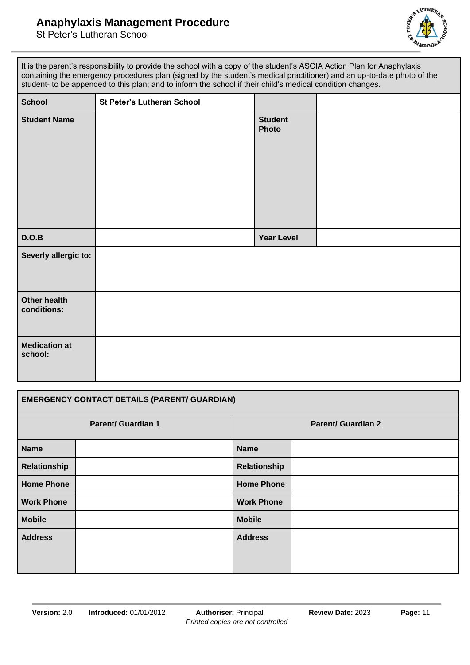## **Anaphylaxis Management Procedure**



| It is the parent's responsibility to provide the school with a copy of the student's ASCIA Action Plan for Anaphylaxis<br>containing the emergency procedures plan (signed by the student's medical practitioner) and an up-to-date photo of the<br>student- to be appended to this plan; and to inform the school if their child's medical condition changes. |                                   |                                |  |
|----------------------------------------------------------------------------------------------------------------------------------------------------------------------------------------------------------------------------------------------------------------------------------------------------------------------------------------------------------------|-----------------------------------|--------------------------------|--|
| <b>School</b>                                                                                                                                                                                                                                                                                                                                                  | <b>St Peter's Lutheran School</b> |                                |  |
| <b>Student Name</b>                                                                                                                                                                                                                                                                                                                                            |                                   | <b>Student</b><br><b>Photo</b> |  |
| D.O.B                                                                                                                                                                                                                                                                                                                                                          |                                   | <b>Year Level</b>              |  |
| Severly allergic to:                                                                                                                                                                                                                                                                                                                                           |                                   |                                |  |
| <b>Other health</b><br>conditions:                                                                                                                                                                                                                                                                                                                             |                                   |                                |  |
| <b>Medication at</b><br>school:                                                                                                                                                                                                                                                                                                                                |                                   |                                |  |

| <b>EMERGENCY CONTACT DETAILS (PARENT/ GUARDIAN)</b> |  |                           |  |  |
|-----------------------------------------------------|--|---------------------------|--|--|
| <b>Parent/ Guardian 1</b>                           |  | <b>Parent/ Guardian 2</b> |  |  |
| <b>Name</b>                                         |  | <b>Name</b>               |  |  |
| Relationship                                        |  | Relationship              |  |  |
| <b>Home Phone</b>                                   |  | <b>Home Phone</b>         |  |  |
| <b>Work Phone</b>                                   |  | <b>Work Phone</b>         |  |  |
| <b>Mobile</b>                                       |  | <b>Mobile</b>             |  |  |
| <b>Address</b>                                      |  | <b>Address</b>            |  |  |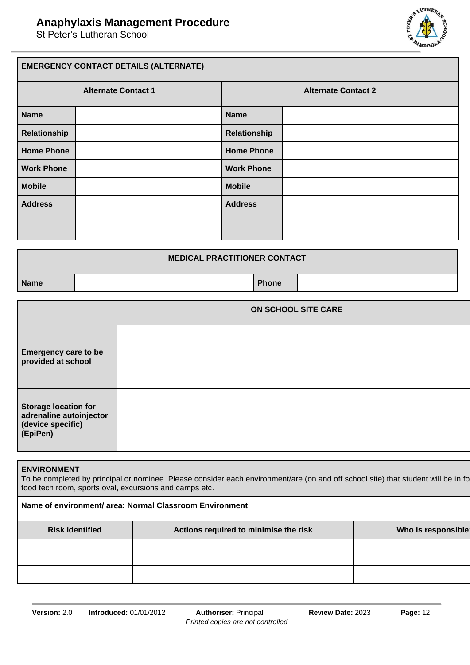

| <b>EMERGENCY CONTACT DETAILS (ALTERNATE)</b> |  |                            |  |  |
|----------------------------------------------|--|----------------------------|--|--|
| <b>Alternate Contact 1</b>                   |  | <b>Alternate Contact 2</b> |  |  |
| <b>Name</b>                                  |  | <b>Name</b>                |  |  |
| Relationship                                 |  | <b>Relationship</b>        |  |  |
| <b>Home Phone</b>                            |  | <b>Home Phone</b>          |  |  |
| <b>Work Phone</b>                            |  | <b>Work Phone</b>          |  |  |
| <b>Mobile</b>                                |  | <b>Mobile</b>              |  |  |
| <b>Address</b>                               |  | <b>Address</b>             |  |  |
|                                              |  |                            |  |  |

| <b>MEDICAL PRACTITIONER CONTACT</b> |              |  |  |
|-------------------------------------|--------------|--|--|
| <b>Name</b>                         | <b>Phone</b> |  |  |

|                                                                                         | <b>ON SCHOOL SITE CARE</b> |
|-----------------------------------------------------------------------------------------|----------------------------|
| <b>Emergency care to be</b><br>provided at school                                       |                            |
| <b>Storage location for</b><br>adrenaline autoinjector<br>(device specific)<br>(EpiPen) |                            |

#### **ENVIRONMENT**

To be completed by principal or nominee. Please consider each environment/are (on and off school site) that student will be in fo food tech room, sports oval, excursions and camps etc.

| Name of environment/ area: Normal Classroom Environment |                                       |                    |  |
|---------------------------------------------------------|---------------------------------------|--------------------|--|
| <b>Risk identified</b>                                  | Actions required to minimise the risk | Who is responsible |  |
|                                                         |                                       |                    |  |
|                                                         |                                       |                    |  |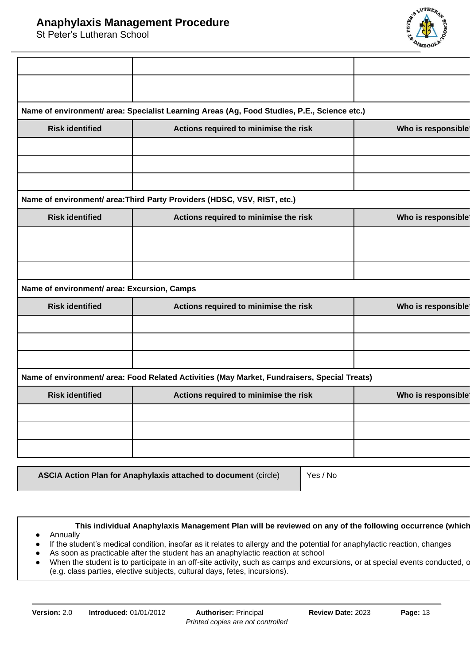

|                                             | Name of environment/ area: Specialist Learning Areas (Ag, Food Studies, P.E., Science etc.)  |                    |
|---------------------------------------------|----------------------------------------------------------------------------------------------|--------------------|
| <b>Risk identified</b>                      | Actions required to minimise the risk                                                        | Who is responsible |
|                                             |                                                                                              |                    |
|                                             |                                                                                              |                    |
|                                             | Name of environment/ area: Third Party Providers (HDSC, VSV, RIST, etc.)                     |                    |
| <b>Risk identified</b>                      | Actions required to minimise the risk                                                        | Who is responsible |
|                                             |                                                                                              |                    |
|                                             |                                                                                              |                    |
|                                             |                                                                                              |                    |
| Name of environment/ area: Excursion, Camps |                                                                                              |                    |
| <b>Risk identified</b>                      | Actions required to minimise the risk                                                        | Who is responsible |
|                                             |                                                                                              |                    |
|                                             |                                                                                              |                    |
|                                             |                                                                                              |                    |
|                                             | Name of environment/ area: Food Related Activities (May Market, Fundraisers, Special Treats) |                    |
| <b>Risk identified</b>                      | Actions required to minimise the risk                                                        | Who is responsible |
|                                             |                                                                                              |                    |
|                                             |                                                                                              |                    |
|                                             |                                                                                              |                    |
|                                             |                                                                                              |                    |

**ASCIA Action Plan for Anaphylaxis attached to document (circle)** Yes / No

This individual Anaphylaxis Management Plan will be reviewed on any of the following occurrence (which ● Annually

- If the student's medical condition, insofar as it relates to allergy and the potential for anaphylactic reaction, changes
- As soon as practicable after the student has an anaphylactic reaction at school
- When the student is to participate in an off-site activity, such as camps and excursions, or at special events conducted, c (e.g. class parties, elective subjects, cultural days, fetes, incursions).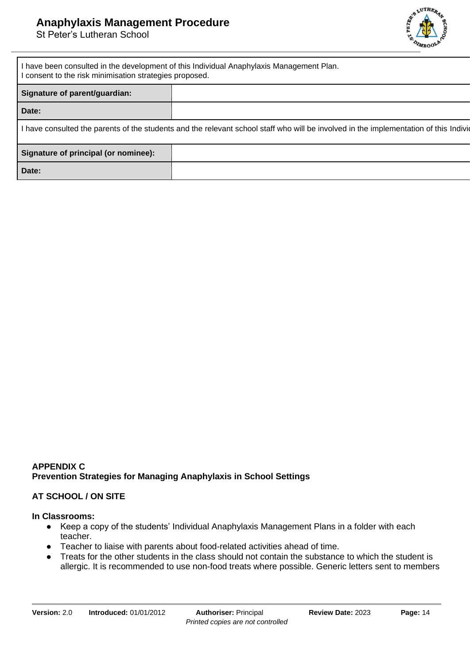

| I have been consulted in the development of this Individual Anaphylaxis Management Plan.<br>I consent to the risk minimisation strategies proposed. |  |  |
|-----------------------------------------------------------------------------------------------------------------------------------------------------|--|--|
| Signature of parent/guardian:                                                                                                                       |  |  |
| Date:                                                                                                                                               |  |  |
| I have consulted the parents of the students and the relevant school staff who will be involved in the implementation of this Indivio               |  |  |
| Signature of principal (or nominee):                                                                                                                |  |  |
| Date:                                                                                                                                               |  |  |

## **APPENDIX C Prevention Strategies for Managing Anaphylaxis in School Settings**

#### **AT SCHOOL / ON SITE**

#### **In Classrooms:**

- Keep a copy of the students' Individual Anaphylaxis Management Plans in a folder with each teacher.
- Teacher to liaise with parents about food-related activities ahead of time.
- Treats for the other students in the class should not contain the substance to which the student is allergic. It is recommended to use non-food treats where possible. Generic letters sent to members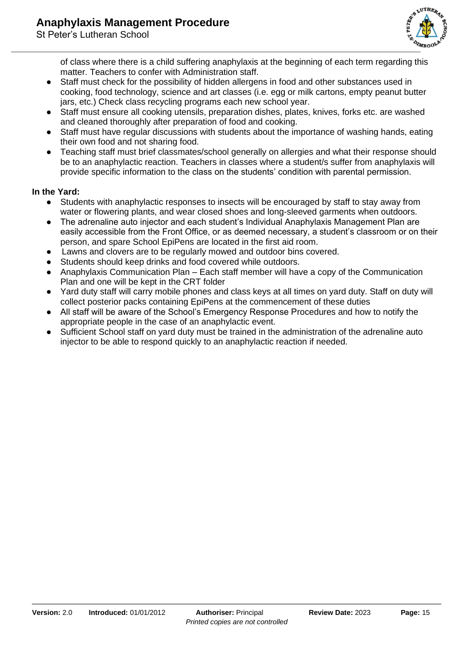

of class where there is a child suffering anaphylaxis at the beginning of each term regarding this matter. Teachers to confer with Administration staff.

- Staff must check for the possibility of hidden allergens in food and other substances used in cooking, food technology, science and art classes (i.e. egg or milk cartons, empty peanut butter jars, etc.) Check class recycling programs each new school year.
- Staff must ensure all cooking utensils, preparation dishes, plates, knives, forks etc. are washed and cleaned thoroughly after preparation of food and cooking.
- Staff must have regular discussions with students about the importance of washing hands, eating their own food and not sharing food.
- Teaching staff must brief classmates/school generally on allergies and what their response should be to an anaphylactic reaction. Teachers in classes where a student/s suffer from anaphylaxis will provide specific information to the class on the students' condition with parental permission.

## **In the Yard:**

- Students with anaphylactic responses to insects will be encouraged by staff to stay away from water or flowering plants, and wear closed shoes and long-sleeved garments when outdoors.
- The adrenaline auto injector and each student's Individual Anaphylaxis Management Plan are easily accessible from the Front Office, or as deemed necessary, a student's classroom or on their person, and spare School EpiPens are located in the first aid room.
- Lawns and clovers are to be regularly mowed and outdoor bins covered.
- Students should keep drinks and food covered while outdoors.
- Anaphylaxis Communication Plan Each staff member will have a copy of the Communication Plan and one will be kept in the CRT folder
- Yard duty staff will carry mobile phones and class keys at all times on yard duty. Staff on duty will collect posterior packs containing EpiPens at the commencement of these duties
- All staff will be aware of the School's Emergency Response Procedures and how to notify the appropriate people in the case of an anaphylactic event.
- Sufficient School staff on yard duty must be trained in the administration of the adrenaline auto injector to be able to respond quickly to an anaphylactic reaction if needed.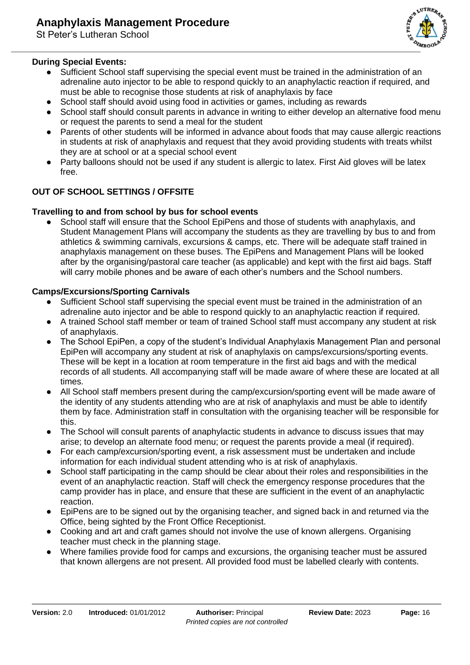## **During Special Events:**

- Sufficient School staff supervising the special event must be trained in the administration of an adrenaline auto injector to be able to respond quickly to an anaphylactic reaction if required, and must be able to recognise those students at risk of anaphylaxis by face
- School staff should avoid using food in activities or games, including as rewards
- School staff should consult parents in advance in writing to either develop an alternative food menu or request the parents to send a meal for the student
- Parents of other students will be informed in advance about foods that may cause allergic reactions in students at risk of anaphylaxis and request that they avoid providing students with treats whilst they are at school or at a special school event
- Party balloons should not be used if any student is allergic to latex. First Aid gloves will be latex free.

## **OUT OF SCHOOL SETTINGS / OFFSITE**

#### **Travelling to and from school by bus for school events**

School staff will ensure that the School EpiPens and those of students with anaphylaxis, and Student Management Plans will accompany the students as they are travelling by bus to and from athletics & swimming carnivals, excursions & camps, etc. There will be adequate staff trained in anaphylaxis management on these buses. The EpiPens and Management Plans will be looked after by the organising/pastoral care teacher (as applicable) and kept with the first aid bags. Staff will carry mobile phones and be aware of each other's numbers and the School numbers.

#### **Camps/Excursions/Sporting Carnivals**

- Sufficient School staff supervising the special event must be trained in the administration of an adrenaline auto injector and be able to respond quickly to an anaphylactic reaction if required.
- A trained School staff member or team of trained School staff must accompany any student at risk of anaphylaxis.
- The School EpiPen, a copy of the student's Individual Anaphylaxis Management Plan and personal EpiPen will accompany any student at risk of anaphylaxis on camps/excursions/sporting events. These will be kept in a location at room temperature in the first aid bags and with the medical records of all students. All accompanying staff will be made aware of where these are located at all times.
- All School staff members present during the camp/excursion/sporting event will be made aware of the identity of any students attending who are at risk of anaphylaxis and must be able to identify them by face. Administration staff in consultation with the organising teacher will be responsible for this.
- The School will consult parents of anaphylactic students in advance to discuss issues that may arise; to develop an alternate food menu; or request the parents provide a meal (if required).
- For each camp/excursion/sporting event, a risk assessment must be undertaken and include information for each individual student attending who is at risk of anaphylaxis.
- School staff participating in the camp should be clear about their roles and responsibilities in the event of an anaphylactic reaction. Staff will check the emergency response procedures that the camp provider has in place, and ensure that these are sufficient in the event of an anaphylactic reaction.
- EpiPens are to be signed out by the organising teacher, and signed back in and returned via the Office, being sighted by the Front Office Receptionist.
- Cooking and art and craft games should not involve the use of known allergens. Organising teacher must check in the planning stage.
- Where families provide food for camps and excursions, the organising teacher must be assured that known allergens are not present. All provided food must be labelled clearly with contents.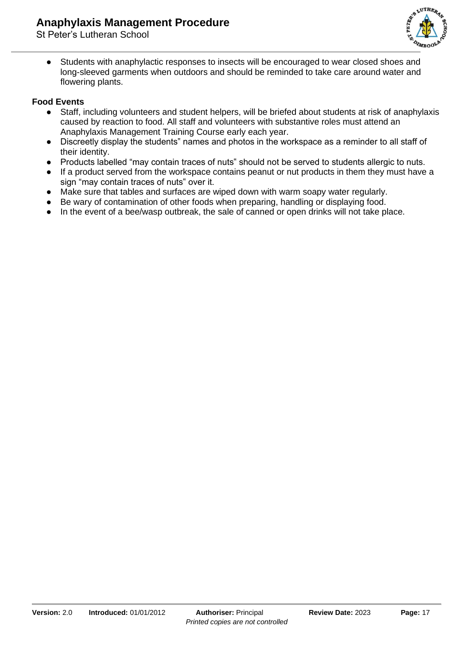

● Students with anaphylactic responses to insects will be encouraged to wear closed shoes and long-sleeved garments when outdoors and should be reminded to take care around water and flowering plants.

## **Food Events**

- Staff, including volunteers and student helpers, will be briefed about students at risk of anaphylaxis caused by reaction to food. All staff and volunteers with substantive roles must attend an Anaphylaxis Management Training Course early each year.
- Discreetly display the students" names and photos in the workspace as a reminder to all staff of their identity.
- Products labelled "may contain traces of nuts" should not be served to students allergic to nuts.
- If a product served from the workspace contains peanut or nut products in them they must have a sign "may contain traces of nuts" over it.
- Make sure that tables and surfaces are wiped down with warm soapy water regularly.
- Be wary of contamination of other foods when preparing, handling or displaying food.
- In the event of a bee/wasp outbreak, the sale of canned or open drinks will not take place.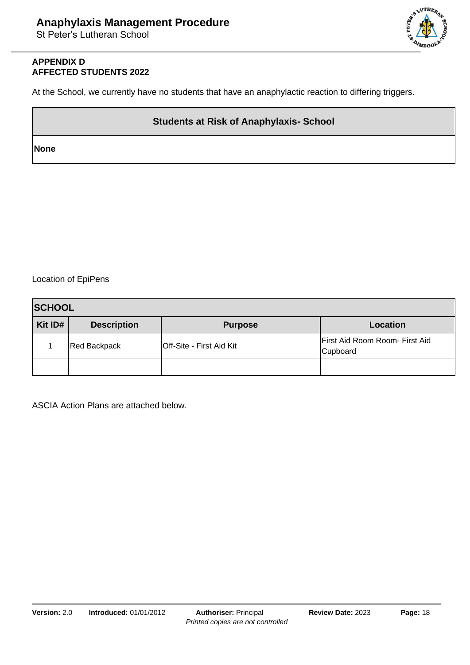

#### **APPENDIX D AFFECTED STUDENTS 2022**

At the School, we currently have no students that have an anaphylactic reaction to differing triggers.

## **Students at Risk of Anaphylaxis- School**

**None**

Location of EpiPens

| <b>SCHOOL</b> |                     |                                 |                                            |  |
|---------------|---------------------|---------------------------------|--------------------------------------------|--|
| Kit ID#       | <b>Description</b>  | <b>Purpose</b>                  | <b>Location</b>                            |  |
|               | <b>Red Backpack</b> | <b>Off-Site - First Aid Kit</b> | First Aid Room Room- First Aid<br>Cupboard |  |
|               |                     |                                 |                                            |  |

ASCIA Action Plans are attached below.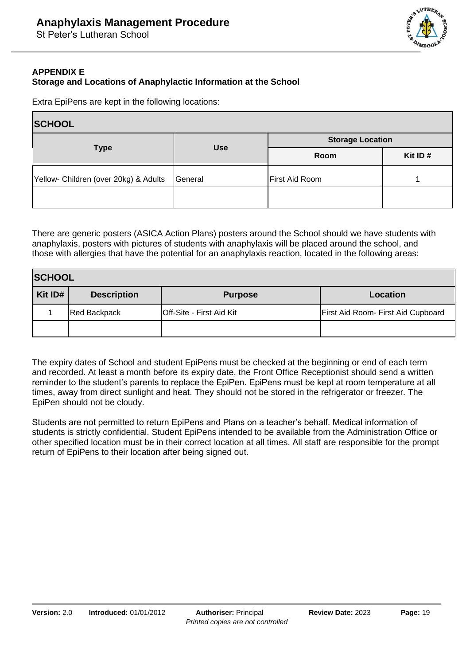

## **APPENDIX E Storage and Locations of Anaphylactic Information at the School**

Extra EpiPens are kept in the following locations:

| <b>SCHOOL</b>                         |            |                         |            |  |
|---------------------------------------|------------|-------------------------|------------|--|
|                                       | <b>Use</b> | <b>Storage Location</b> |            |  |
| <b>Type</b>                           |            | Room                    | Kit ID $#$ |  |
| Yellow- Children (over 20kg) & Adults | General    | First Aid Room          |            |  |
|                                       |            |                         |            |  |

There are generic posters (ASICA Action Plans) posters around the School should we have students with anaphylaxis, posters with pictures of students with anaphylaxis will be placed around the school, and those with allergies that have the potential for an anaphylaxis reaction, located in the following areas:

| <b>SCHOOL</b> |                     |                                 |                                    |  |
|---------------|---------------------|---------------------------------|------------------------------------|--|
| Kit ID#       | <b>Description</b>  | <b>Purpose</b>                  | Location                           |  |
|               | <b>Red Backpack</b> | <b>Off-Site - First Aid Kit</b> | First Aid Room- First Aid Cupboard |  |
|               |                     |                                 |                                    |  |

The expiry dates of School and student EpiPens must be checked at the beginning or end of each term and recorded. At least a month before its expiry date, the Front Office Receptionist should send a written reminder to the student's parents to replace the EpiPen. EpiPens must be kept at room temperature at all times, away from direct sunlight and heat. They should not be stored in the refrigerator or freezer. The EpiPen should not be cloudy.

Students are not permitted to return EpiPens and Plans on a teacher's behalf. Medical information of students is strictly confidential. Student EpiPens intended to be available from the Administration Office or other specified location must be in their correct location at all times. All staff are responsible for the prompt return of EpiPens to their location after being signed out.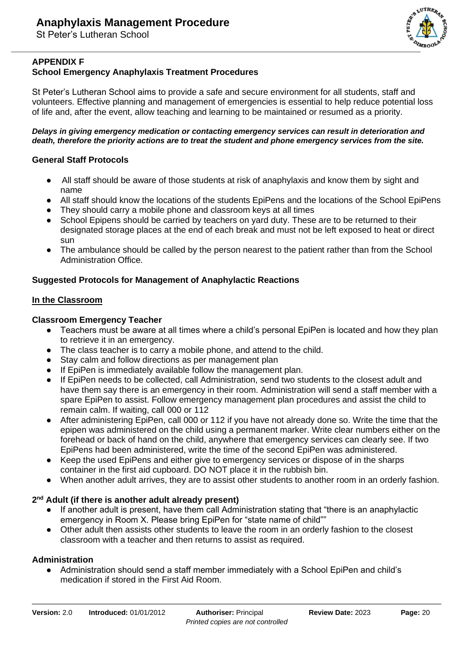

## **APPENDIX F**

## **School Emergency Anaphylaxis Treatment Procedures**

St Peter's Lutheran School aims to provide a safe and secure environment for all students, staff and volunteers. Effective planning and management of emergencies is essential to help reduce potential loss of life and, after the event, allow teaching and learning to be maintained or resumed as a priority.

#### *Delays in giving emergency medication or contacting emergency services can result in deterioration and death, therefore the priority actions are to treat the student and phone emergency services from the site.*

#### **General Staff Protocols**

- All staff should be aware of those students at risk of anaphylaxis and know them by sight and name
- All staff should know the locations of the students EpiPens and the locations of the School EpiPens
- They should carry a mobile phone and classroom keys at all times
- School Epipens should be carried by teachers on yard duty. These are to be returned to their designated storage places at the end of each break and must not be left exposed to heat or direct sun
- The ambulance should be called by the person nearest to the patient rather than from the School Administration Office.

#### **Suggested Protocols for Management of Anaphylactic Reactions**

#### **In the Classroom**

#### **Classroom Emergency Teacher**

- Teachers must be aware at all times where a child's personal EpiPen is located and how they plan to retrieve it in an emergency.
- The class teacher is to carry a mobile phone, and attend to the child.
- Stay calm and follow directions as per management plan
- If EpiPen is immediately available follow the management plan.
- If EpiPen needs to be collected, call Administration, send two students to the closest adult and have them say there is an emergency in their room. Administration will send a staff member with a spare EpiPen to assist. Follow emergency management plan procedures and assist the child to remain calm. If waiting, call 000 or 112
- After administering EpiPen, call 000 or 112 if you have not already done so. Write the time that the epipen was administered on the child using a permanent marker. Write clear numbers either on the forehead or back of hand on the child, anywhere that emergency services can clearly see. If two EpiPens had been administered, write the time of the second EpiPen was administered.
- Keep the used EpiPens and either give to emergency services or dispose of in the sharps container in the first aid cupboard. DO NOT place it in the rubbish bin.
- When another adult arrives, they are to assist other students to another room in an orderly fashion.

#### **2 nd Adult (if there is another adult already present)**

- If another adult is present, have them call Administration stating that "there is an anaphylactic emergency in Room X. Please bring EpiPen for "state name of child""
- Other adult then assists other students to leave the room in an orderly fashion to the closest classroom with a teacher and then returns to assist as required.

#### **Administration**

● Administration should send a staff member immediately with a School EpiPen and child's medication if stored in the First Aid Room.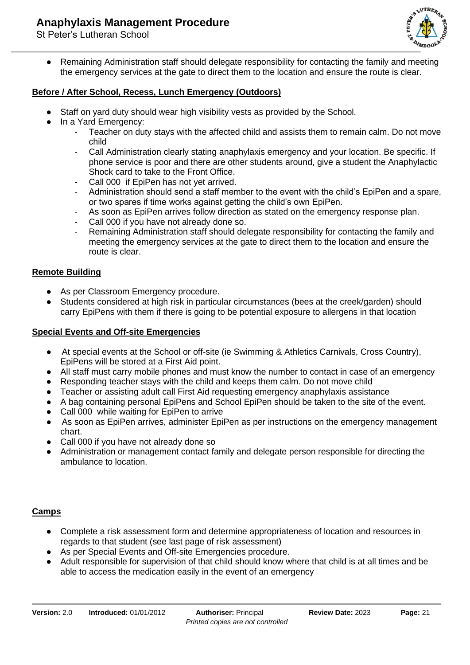

● Remaining Administration staff should delegate responsibility for contacting the family and meeting the emergency services at the gate to direct them to the location and ensure the route is clear.

## **Before / After School, Recess, Lunch Emergency (Outdoors)**

- Staff on yard duty should wear high visibility vests as provided by the School.
- In a Yard Emergency:
	- Teacher on duty stays with the affected child and assists them to remain calm. Do not move child
	- Call Administration clearly stating anaphylaxis emergency and your location. Be specific. If phone service is poor and there are other students around, give a student the Anaphylactic Shock card to take to the Front Office.
	- Call 000 if EpiPen has not yet arrived.
	- Administration should send a staff member to the event with the child's EpiPen and a spare, or two spares if time works against getting the child's own EpiPen.
	- As soon as EpiPen arrives follow direction as stated on the emergency response plan.
	- Call 000 if you have not already done so.
	- Remaining Administration staff should delegate responsibility for contacting the family and meeting the emergency services at the gate to direct them to the location and ensure the route is clear.

## **Remote Building**

- As per Classroom Emergency procedure.
- Students considered at high risk in particular circumstances (bees at the creek/garden) should carry EpiPens with them if there is going to be potential exposure to allergens in that location

### **Special Events and Off-site Emergencies**

- At special events at the School or off-site (ie Swimming & Athletics Carnivals, Cross Country), EpiPens will be stored at a First Aid point.
- All staff must carry mobile phones and must know the number to contact in case of an emergency
- Responding teacher stays with the child and keeps them calm. Do not move child
- Teacher or assisting adult call First Aid requesting emergency anaphylaxis assistance
- A bag containing personal EpiPens and School EpiPen should be taken to the site of the event.
- Call 000 while waiting for EpiPen to arrive
- As soon as EpiPen arrives, administer EpiPen as per instructions on the emergency management chart.
- Call 000 if you have not already done so
- Administration or management contact family and delegate person responsible for directing the ambulance to location.

#### **Camps**

- Complete a risk assessment form and determine appropriateness of location and resources in regards to that student (see last page of risk assessment)
- As per Special Events and Off-site Emergencies procedure.
- Adult responsible for supervision of that child should know where that child is at all times and be able to access the medication easily in the event of an emergency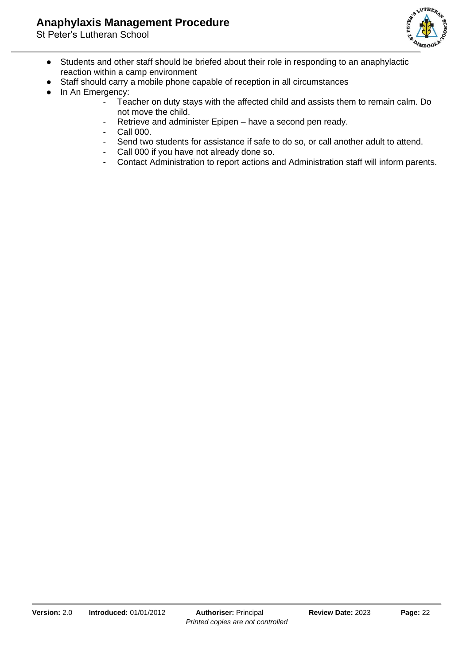## **Anaphylaxis Management Procedure**



- Students and other staff should be briefed about their role in responding to an anaphylactic reaction within a camp environment
- Staff should carry a mobile phone capable of reception in all circumstances
- In An Emergency:
	- Teacher on duty stays with the affected child and assists them to remain calm. Do not move the child.
	- Retrieve and administer Epipen have a second pen ready.
	- Call 000.
	- Send two students for assistance if safe to do so, or call another adult to attend.
	- Call 000 if you have not already done so.
	- Contact Administration to report actions and Administration staff will inform parents.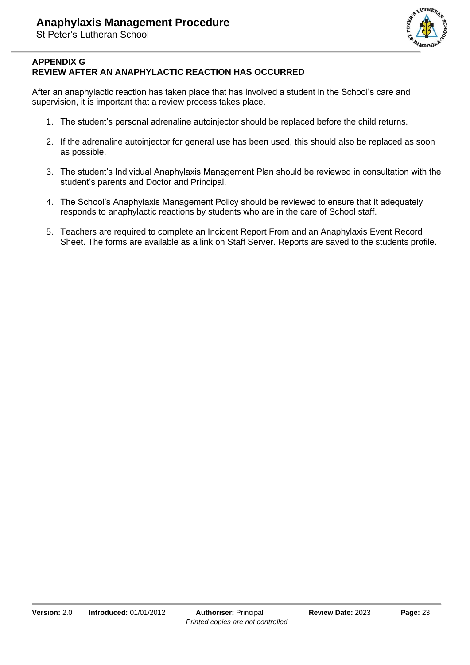

## **APPENDIX G REVIEW AFTER AN ANAPHYLACTIC REACTION HAS OCCURRED**

After an anaphylactic reaction has taken place that has involved a student in the School's care and supervision, it is important that a review process takes place.

- 1. The student's personal adrenaline autoinjector should be replaced before the child returns.
- 2. If the adrenaline autoinjector for general use has been used, this should also be replaced as soon as possible.
- 3. The student's Individual Anaphylaxis Management Plan should be reviewed in consultation with the student's parents and Doctor and Principal.
- 4. The School's Anaphylaxis Management Policy should be reviewed to ensure that it adequately responds to anaphylactic reactions by students who are in the care of School staff.
- 5. Teachers are required to complete an Incident Report From and an Anaphylaxis Event Record Sheet. The forms are available as a link on Staff Server. Reports are saved to the students profile.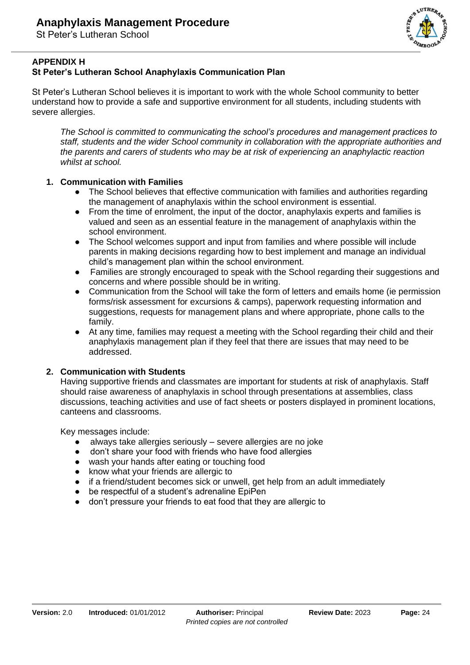

## **APPENDIX H**

## **St Peter's Lutheran School Anaphylaxis Communication Plan**

St Peter's Lutheran School believes it is important to work with the whole School community to better understand how to provide a safe and supportive environment for all students, including students with severe allergies.

*The School is committed to communicating the school's procedures and management practices to staff, students and the wider School community in collaboration with the appropriate authorities and the parents and carers of students who may be at risk of experiencing an anaphylactic reaction whilst at school.*

## **1. Communication with Families**

- The School believes that effective communication with families and authorities regarding the management of anaphylaxis within the school environment is essential.
- From the time of enrolment, the input of the doctor, anaphylaxis experts and families is valued and seen as an essential feature in the management of anaphylaxis within the school environment.
- The School welcomes support and input from families and where possible will include parents in making decisions regarding how to best implement and manage an individual child's management plan within the school environment.
- Families are strongly encouraged to speak with the School regarding their suggestions and concerns and where possible should be in writing.
- Communication from the School will take the form of letters and emails home (ie permission forms/risk assessment for excursions & camps), paperwork requesting information and suggestions, requests for management plans and where appropriate, phone calls to the family.
- At any time, families may request a meeting with the School regarding their child and their anaphylaxis management plan if they feel that there are issues that may need to be addressed.

## **2. Communication with Students**

Having supportive friends and classmates are important for students at risk of anaphylaxis. Staff should raise awareness of anaphylaxis in school through presentations at assemblies, class discussions, teaching activities and use of fact sheets or posters displayed in prominent locations, canteens and classrooms.

Key messages include:

- always take allergies seriously severe allergies are no joke
- don't share your food with friends who have food allergies
- wash your hands after eating or touching food
- know what your friends are allergic to
- if a friend/student becomes sick or unwell, get help from an adult immediately
- be respectful of a student's adrenaline EpiPen
- don't pressure your friends to eat food that they are allergic to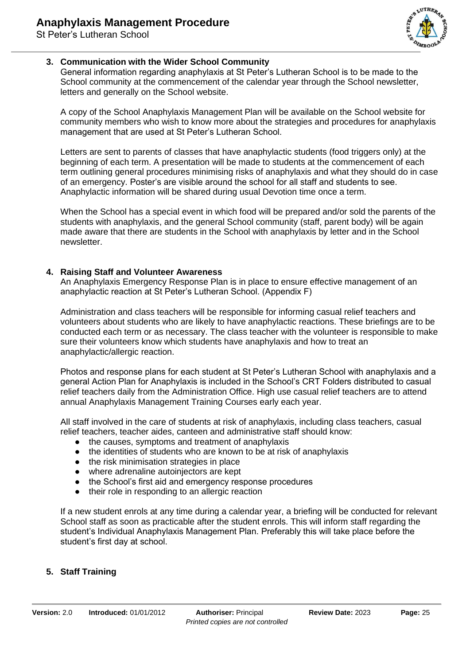

## **3. Communication with the Wider School Community**

General information regarding anaphylaxis at St Peter's Lutheran School is to be made to the School community at the commencement of the calendar year through the School newsletter, letters and generally on the School website.

A copy of the School Anaphylaxis Management Plan will be available on the School website for community members who wish to know more about the strategies and procedures for anaphylaxis management that are used at St Peter's Lutheran School.

Letters are sent to parents of classes that have anaphylactic students (food triggers only) at the beginning of each term. A presentation will be made to students at the commencement of each term outlining general procedures minimising risks of anaphylaxis and what they should do in case of an emergency. Poster's are visible around the school for all staff and students to see. Anaphylactic information will be shared during usual Devotion time once a term.

When the School has a special event in which food will be prepared and/or sold the parents of the students with anaphylaxis, and the general School community (staff, parent body) will be again made aware that there are students in the School with anaphylaxis by letter and in the School newsletter.

#### **4. Raising Staff and Volunteer Awareness**

An Anaphylaxis Emergency Response Plan is in place to ensure effective management of an anaphylactic reaction at St Peter's Lutheran School. (Appendix F)

Administration and class teachers will be responsible for informing casual relief teachers and volunteers about students who are likely to have anaphylactic reactions. These briefings are to be conducted each term or as necessary. The class teacher with the volunteer is responsible to make sure their volunteers know which students have anaphylaxis and how to treat an anaphylactic/allergic reaction.

Photos and response plans for each student at St Peter's Lutheran School with anaphylaxis and a general Action Plan for Anaphylaxis is included in the School's CRT Folders distributed to casual relief teachers daily from the Administration Office. High use casual relief teachers are to attend annual Anaphylaxis Management Training Courses early each year.

All staff involved in the care of students at risk of anaphylaxis, including class teachers, casual relief teachers, teacher aides, canteen and administrative staff should know:

- the causes, symptoms and treatment of anaphylaxis
- the identities of students who are known to be at risk of anaphylaxis
- the risk minimisation strategies in place
- where adrenaline autoinjectors are kept
- the School's first aid and emergency response procedures
- their role in responding to an allergic reaction

If a new student enrols at any time during a calendar year, a briefing will be conducted for relevant School staff as soon as practicable after the student enrols. This will inform staff regarding the student's Individual Anaphylaxis Management Plan. Preferably this will take place before the student's first day at school.

## **5. Staff Training**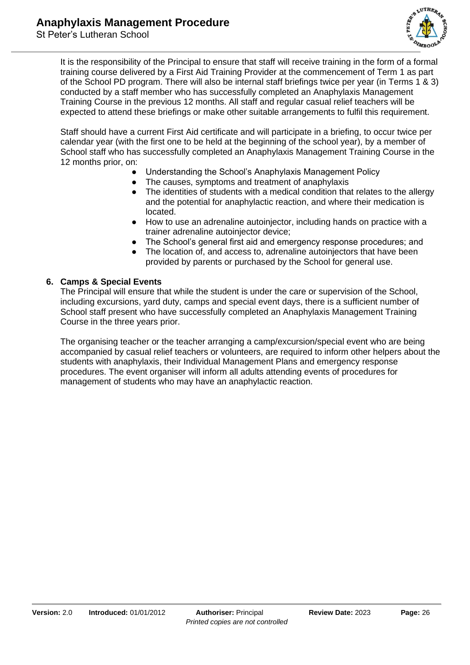

It is the responsibility of the Principal to ensure that staff will receive training in the form of a formal training course delivered by a First Aid Training Provider at the commencement of Term 1 as part of the School PD program. There will also be internal staff briefings twice per year (in Terms 1 & 3) conducted by a staff member who has successfully completed an Anaphylaxis Management Training Course in the previous 12 months. All staff and regular casual relief teachers will be expected to attend these briefings or make other suitable arrangements to fulfil this requirement.

Staff should have a current First Aid certificate and will participate in a briefing, to occur twice per calendar year (with the first one to be held at the beginning of the school year), by a member of School staff who has successfully completed an Anaphylaxis Management Training Course in the 12 months prior, on:

- Understanding the School's Anaphylaxis Management Policy
- The causes, symptoms and treatment of anaphylaxis
- The identities of students with a medical condition that relates to the allergy and the potential for anaphylactic reaction, and where their medication is located.
- How to use an adrenaline autoinjector, including hands on practice with a trainer adrenaline autoinjector device;
- The School's general first aid and emergency response procedures; and
- The location of, and access to, adrenaline autoinjectors that have been provided by parents or purchased by the School for general use.

## **6. Camps & Special Events**

The Principal will ensure that while the student is under the care or supervision of the School, including excursions, yard duty, camps and special event days, there is a sufficient number of School staff present who have successfully completed an Anaphylaxis Management Training Course in the three years prior.

The organising teacher or the teacher arranging a camp/excursion/special event who are being accompanied by casual relief teachers or volunteers, are required to inform other helpers about the students with anaphylaxis, their Individual Management Plans and emergency response procedures. The event organiser will inform all adults attending events of procedures for management of students who may have an anaphylactic reaction.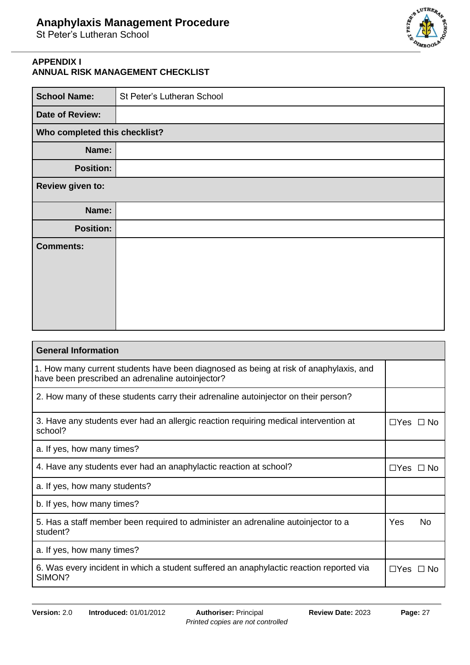

## **APPENDIX I ANNUAL RISK MANAGEMENT CHECKLIST**

| <b>School Name:</b>           | St Peter's Lutheran School |
|-------------------------------|----------------------------|
| <b>Date of Review:</b>        |                            |
| Who completed this checklist? |                            |
| Name:                         |                            |
| <b>Position:</b>              |                            |
| Review given to:              |                            |
| Name:                         |                            |
| <b>Position:</b>              |                            |
| <b>Comments:</b>              |                            |

| <b>General Information</b>                                                                                                                |                      |     |
|-------------------------------------------------------------------------------------------------------------------------------------------|----------------------|-----|
| 1. How many current students have been diagnosed as being at risk of anaphylaxis, and<br>have been prescribed an adrenaline autoinjector? |                      |     |
| 2. How many of these students carry their adrenaline autoinjector on their person?                                                        |                      |     |
| 3. Have any students ever had an allergic reaction requiring medical intervention at<br>school?                                           | $\Box$ Yes $\Box$ No |     |
| a. If yes, how many times?                                                                                                                |                      |     |
| 4. Have any students ever had an anaphylactic reaction at school?                                                                         | $\Box$ Yes $\Box$ No |     |
| a. If yes, how many students?                                                                                                             |                      |     |
| b. If yes, how many times?                                                                                                                |                      |     |
| 5. Has a staff member been required to administer an adrenaline autoinjector to a<br>student?                                             | Yes                  | No. |
| a. If yes, how many times?                                                                                                                |                      |     |
| 6. Was every incident in which a student suffered an anaphylactic reaction reported via<br>SIMON?                                         | $\Box$ Yes $\Box$ No |     |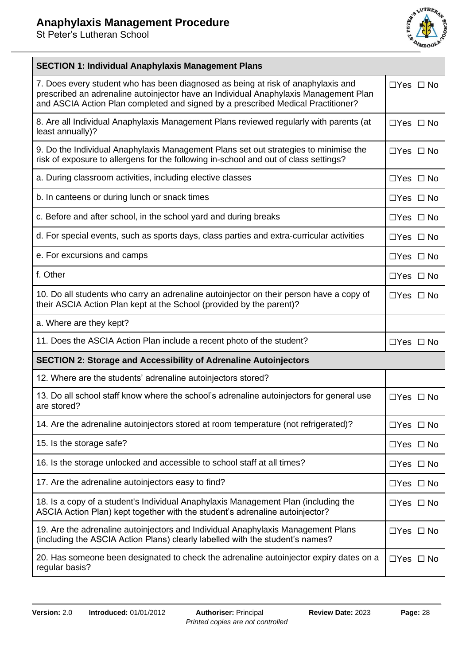

| <b>SECTION 1: Individual Anaphylaxis Management Plans</b>                                                                                                                                                                                                    |                      |  |  |
|--------------------------------------------------------------------------------------------------------------------------------------------------------------------------------------------------------------------------------------------------------------|----------------------|--|--|
| 7. Does every student who has been diagnosed as being at risk of anaphylaxis and<br>prescribed an adrenaline autoinjector have an Individual Anaphylaxis Management Plan<br>and ASCIA Action Plan completed and signed by a prescribed Medical Practitioner? | $\Box$ Yes $\Box$ No |  |  |
| 8. Are all Individual Anaphylaxis Management Plans reviewed regularly with parents (at<br>least annually)?                                                                                                                                                   | $\Box$ Yes $\Box$ No |  |  |
| 9. Do the Individual Anaphylaxis Management Plans set out strategies to minimise the<br>risk of exposure to allergens for the following in-school and out of class settings?                                                                                 | $\Box$ Yes $\Box$ No |  |  |
| a. During classroom activities, including elective classes                                                                                                                                                                                                   | $\Box$ Yes $\Box$ No |  |  |
| b. In canteens or during lunch or snack times                                                                                                                                                                                                                | $\Box$ Yes $\Box$ No |  |  |
| c. Before and after school, in the school yard and during breaks                                                                                                                                                                                             | $\Box$ Yes $\Box$ No |  |  |
| d. For special events, such as sports days, class parties and extra-curricular activities                                                                                                                                                                    | $\Box$ Yes $\Box$ No |  |  |
| e. For excursions and camps                                                                                                                                                                                                                                  | $\Box$ Yes $\Box$ No |  |  |
| f. Other                                                                                                                                                                                                                                                     | $\Box$ Yes $\Box$ No |  |  |
| 10. Do all students who carry an adrenaline autoinjector on their person have a copy of<br>their ASCIA Action Plan kept at the School (provided by the parent)?                                                                                              | $\Box$ Yes $\Box$ No |  |  |
| a. Where are they kept?                                                                                                                                                                                                                                      |                      |  |  |
| 11. Does the ASCIA Action Plan include a recent photo of the student?                                                                                                                                                                                        | $\Box$ Yes $\Box$ No |  |  |
| <b>SECTION 2: Storage and Accessibility of Adrenaline Autoinjectors</b>                                                                                                                                                                                      |                      |  |  |
| 12. Where are the students' adrenaline autoinjectors stored?                                                                                                                                                                                                 |                      |  |  |
| 13. Do all school staff know where the school's adrenaline autoinjectors for general use<br>are stored?                                                                                                                                                      | $\Box$ Yes $\Box$ No |  |  |
| 14. Are the adrenaline autoinjectors stored at room temperature (not refrigerated)?                                                                                                                                                                          | $\Box$ Yes $\Box$ No |  |  |
| 15. Is the storage safe?                                                                                                                                                                                                                                     | $\Box$ Yes $\Box$ No |  |  |
| 16. Is the storage unlocked and accessible to school staff at all times?                                                                                                                                                                                     | $\Box$ Yes $\Box$ No |  |  |
| 17. Are the adrenaline autoinjectors easy to find?                                                                                                                                                                                                           | $\Box$ Yes $\Box$ No |  |  |
| 18. Is a copy of a student's Individual Anaphylaxis Management Plan (including the<br>ASCIA Action Plan) kept together with the student's adrenaline autoinjector?                                                                                           | $\Box$ Yes $\Box$ No |  |  |
| 19. Are the adrenaline autoinjectors and Individual Anaphylaxis Management Plans<br>(including the ASCIA Action Plans) clearly labelled with the student's names?                                                                                            | $\Box$ Yes $\Box$ No |  |  |
| 20. Has someone been designated to check the adrenaline autoinjector expiry dates on a<br>regular basis?                                                                                                                                                     | $\Box$ Yes $\Box$ No |  |  |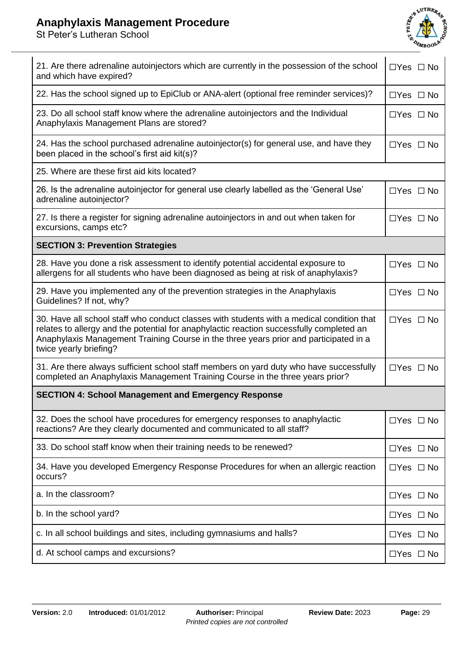## **Anaphylaxis Management Procedure**



| 21. Are there adrenaline autoinjectors which are currently in the possession of the school<br>and which have expired?                                                                                                                                                                                    | $\Box$ Yes $\Box$ No |  |
|----------------------------------------------------------------------------------------------------------------------------------------------------------------------------------------------------------------------------------------------------------------------------------------------------------|----------------------|--|
| 22. Has the school signed up to EpiClub or ANA-alert (optional free reminder services)?                                                                                                                                                                                                                  |                      |  |
| 23. Do all school staff know where the adrenaline autoinjectors and the Individual<br>Anaphylaxis Management Plans are stored?                                                                                                                                                                           | $\Box$ Yes $\Box$ No |  |
| 24. Has the school purchased adrenaline autoinjector(s) for general use, and have they<br>been placed in the school's first aid kit(s)?                                                                                                                                                                  | $\Box$ Yes $\Box$ No |  |
| 25. Where are these first aid kits located?                                                                                                                                                                                                                                                              |                      |  |
| 26. Is the adrenaline autoinjector for general use clearly labelled as the 'General Use'<br>adrenaline autoinjector?                                                                                                                                                                                     | $\Box$ Yes $\Box$ No |  |
| 27. Is there a register for signing adrenaline autoinjectors in and out when taken for<br>excursions, camps etc?                                                                                                                                                                                         | $\Box$ Yes $\Box$ No |  |
| <b>SECTION 3: Prevention Strategies</b>                                                                                                                                                                                                                                                                  |                      |  |
| 28. Have you done a risk assessment to identify potential accidental exposure to<br>allergens for all students who have been diagnosed as being at risk of anaphylaxis?                                                                                                                                  | $\Box$ Yes $\Box$ No |  |
| 29. Have you implemented any of the prevention strategies in the Anaphylaxis<br>Guidelines? If not, why?                                                                                                                                                                                                 | $\Box$ Yes $\Box$ No |  |
| 30. Have all school staff who conduct classes with students with a medical condition that<br>relates to allergy and the potential for anaphylactic reaction successfully completed an<br>Anaphylaxis Management Training Course in the three years prior and participated in a<br>twice yearly briefing? | $\Box$ Yes $\Box$ No |  |
| 31. Are there always sufficient school staff members on yard duty who have successfully<br>completed an Anaphylaxis Management Training Course in the three years prior?                                                                                                                                 | $\Box$ Yes $\Box$ No |  |
| <b>SECTION 4: School Management and Emergency Response</b>                                                                                                                                                                                                                                               |                      |  |
| 32. Does the school have procedures for emergency responses to anaphylactic<br>reactions? Are they clearly documented and communicated to all staff?                                                                                                                                                     | $\Box$ Yes $\Box$ No |  |
| 33. Do school staff know when their training needs to be renewed?                                                                                                                                                                                                                                        | $\Box$ Yes $\Box$ No |  |
| 34. Have you developed Emergency Response Procedures for when an allergic reaction<br>occurs?                                                                                                                                                                                                            | $\Box$ Yes $\Box$ No |  |
| a. In the classroom?                                                                                                                                                                                                                                                                                     | $\Box$ Yes $\Box$ No |  |
| b. In the school yard?                                                                                                                                                                                                                                                                                   | $\Box$ Yes $\Box$ No |  |
| c. In all school buildings and sites, including gymnasiums and halls?                                                                                                                                                                                                                                    | $\Box$ Yes $\Box$ No |  |
| d. At school camps and excursions?                                                                                                                                                                                                                                                                       | $\Box$ Yes $\Box$ No |  |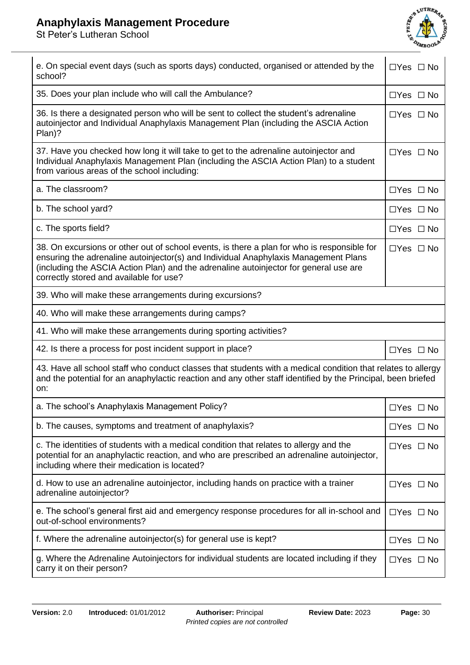## **Anaphylaxis Management Procedure**



| e. On special event days (such as sports days) conducted, organised or attended by the<br>school?                                                                                                                                                                                                                      | $\Box$ Yes $\Box$ No |  |
|------------------------------------------------------------------------------------------------------------------------------------------------------------------------------------------------------------------------------------------------------------------------------------------------------------------------|----------------------|--|
| 35. Does your plan include who will call the Ambulance?                                                                                                                                                                                                                                                                | $\Box$ Yes $\Box$ No |  |
| 36. Is there a designated person who will be sent to collect the student's adrenaline<br>autoinjector and Individual Anaphylaxis Management Plan (including the ASCIA Action<br>Plan)?                                                                                                                                 | $\Box$ Yes $\Box$ No |  |
| 37. Have you checked how long it will take to get to the adrenaline autoinjector and<br>Individual Anaphylaxis Management Plan (including the ASCIA Action Plan) to a student<br>from various areas of the school including:                                                                                           | $\Box$ Yes $\Box$ No |  |
| a. The classroom?                                                                                                                                                                                                                                                                                                      | $\Box$ Yes $\Box$ No |  |
| b. The school yard?                                                                                                                                                                                                                                                                                                    | $\Box$ Yes $\Box$ No |  |
| c. The sports field?                                                                                                                                                                                                                                                                                                   | $\Box$ Yes $\Box$ No |  |
| 38. On excursions or other out of school events, is there a plan for who is responsible for<br>ensuring the adrenaline autoinjector(s) and Individual Anaphylaxis Management Plans<br>(including the ASCIA Action Plan) and the adrenaline autoinjector for general use are<br>correctly stored and available for use? | $\Box$ Yes $\Box$ No |  |
| 39. Who will make these arrangements during excursions?                                                                                                                                                                                                                                                                |                      |  |
| 40. Who will make these arrangements during camps?                                                                                                                                                                                                                                                                     |                      |  |
| 41. Who will make these arrangements during sporting activities?                                                                                                                                                                                                                                                       |                      |  |
| 42. Is there a process for post incident support in place?                                                                                                                                                                                                                                                             | $\Box$ Yes $\Box$ No |  |
| 43. Have all school staff who conduct classes that students with a medical condition that relates to allergy<br>and the potential for an anaphylactic reaction and any other staff identified by the Principal, been briefed<br>on:                                                                                    |                      |  |
| a. The school's Anaphylaxis Management Policy?                                                                                                                                                                                                                                                                         | $\Box$ Yes $\Box$ No |  |
| b. The causes, symptoms and treatment of anaphylaxis?                                                                                                                                                                                                                                                                  | $\Box$ Yes $\Box$ No |  |
| c. The identities of students with a medical condition that relates to allergy and the<br>potential for an anaphylactic reaction, and who are prescribed an adrenaline autoinjector,<br>including where their medication is located?                                                                                   |                      |  |
| d. How to use an adrenaline autoinjector, including hands on practice with a trainer<br>adrenaline autoinjector?                                                                                                                                                                                                       | $\Box$ Yes $\Box$ No |  |
| e. The school's general first aid and emergency response procedures for all in-school and<br>out-of-school environments?                                                                                                                                                                                               | $\Box$ Yes $\Box$ No |  |
| f. Where the adrenaline autoinjector(s) for general use is kept?                                                                                                                                                                                                                                                       | $\Box$ Yes $\Box$ No |  |
| g. Where the Adrenaline Autoinjectors for individual students are located including if they<br>carry it on their person?                                                                                                                                                                                               | □Yes □ No            |  |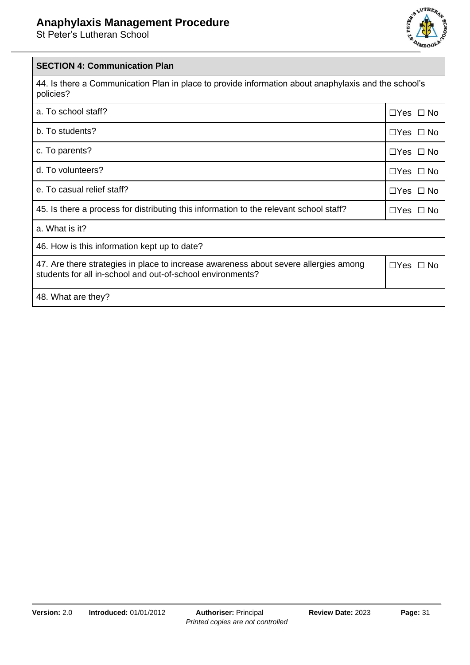

## **SECTION 4: Communication Plan**

44. Is there a Communication Plan in place to provide information about anaphylaxis and the school's policies?

| a. To school staff?                                                                                                                                | $\Box$ Yes $\Box$ No |
|----------------------------------------------------------------------------------------------------------------------------------------------------|----------------------|
| b. To students?                                                                                                                                    | $\Box$ Yes $\Box$ No |
| c. To parents?                                                                                                                                     | $\Box$ Yes $\Box$ No |
| d. To volunteers?                                                                                                                                  | $\Box$ Yes $\Box$ No |
| e. To casual relief staff?                                                                                                                         | $\Box$ Yes $\Box$ No |
| 45. Is there a process for distributing this information to the relevant school staff?                                                             |                      |
| a. What is it?                                                                                                                                     |                      |
| 46. How is this information kept up to date?                                                                                                       |                      |
| 47. Are there strategies in place to increase awareness about severe allergies among<br>students for all in-school and out-of-school environments? |                      |
| 48. What are they?                                                                                                                                 |                      |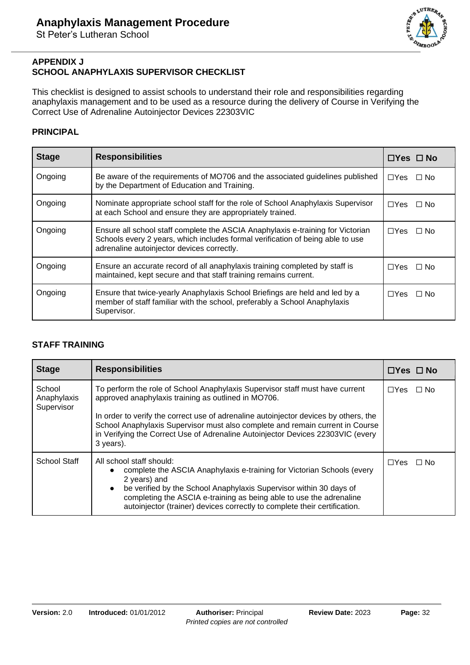

### **APPENDIX J SCHOOL ANAPHYLAXIS SUPERVISOR CHECKLIST**

This checklist is designed to assist schools to understand their role and responsibilities regarding anaphylaxis management and to be used as a resource during the delivery of Course in Verifying the Correct Use of Adrenaline Autoinjector Devices 22303VIC

## **PRINCIPAL**

| <b>Stage</b> | <b>Responsibilities</b>                                                                                                                                                                                         | $\Box$ Yes $\Box$ No     |
|--------------|-----------------------------------------------------------------------------------------------------------------------------------------------------------------------------------------------------------------|--------------------------|
| Ongoing      | Be aware of the requirements of MO706 and the associated guidelines published<br>by the Department of Education and Training.                                                                                   | $\Box$ Yes $\Box$ No     |
| Ongoing      | Nominate appropriate school staff for the role of School Anaphylaxis Supervisor<br>at each School and ensure they are appropriately trained.                                                                    | $\Box Y$ es<br>$\Box$ No |
| Ongoing      | Ensure all school staff complete the ASCIA Anaphylaxis e-training for Victorian<br>Schools every 2 years, which includes formal verification of being able to use<br>adrenaline autoinjector devices correctly. | $\Box Y$ es<br>$\Box$ No |
| Ongoing      | Ensure an accurate record of all anaphylaxis training completed by staff is<br>maintained, kept secure and that staff training remains current.                                                                 | $\Box$ Yes $\Box$ No     |
| Ongoing      | Ensure that twice-yearly Anaphylaxis School Briefings are held and led by a<br>member of staff familiar with the school, preferably a School Anaphylaxis<br>Supervisor.                                         | $\Box$ Yes $\Box$ No     |

## **STAFF TRAINING**

| <b>Stage</b>                        | <b>Responsibilities</b>                                                                                                                                                                                                                                                                                                                                                                                      | $\Box$ Yes $\Box$ No     |
|-------------------------------------|--------------------------------------------------------------------------------------------------------------------------------------------------------------------------------------------------------------------------------------------------------------------------------------------------------------------------------------------------------------------------------------------------------------|--------------------------|
| School<br>Anaphylaxis<br>Supervisor | To perform the role of School Anaphylaxis Supervisor staff must have current<br>approved anaphylaxis training as outlined in MO706.<br>In order to verify the correct use of adrenaline autoinjector devices by others, the<br>School Anaphylaxis Supervisor must also complete and remain current in Course<br>in Verifying the Correct Use of Adrenaline Autoinjector Devices 22303VIC (every<br>3 years). | $\Box Y$ es<br>$\Box$ No |
| School Staff                        | All school staff should:<br>complete the ASCIA Anaphylaxis e-training for Victorian Schools (every<br>2 years) and<br>be verified by the School Anaphylaxis Supervisor within 30 days of<br>$\bullet$<br>completing the ASCIA e-training as being able to use the adrenaline<br>autoinjector (trainer) devices correctly to complete their certification.                                                    | $\Box$ Yes $\Box$ No     |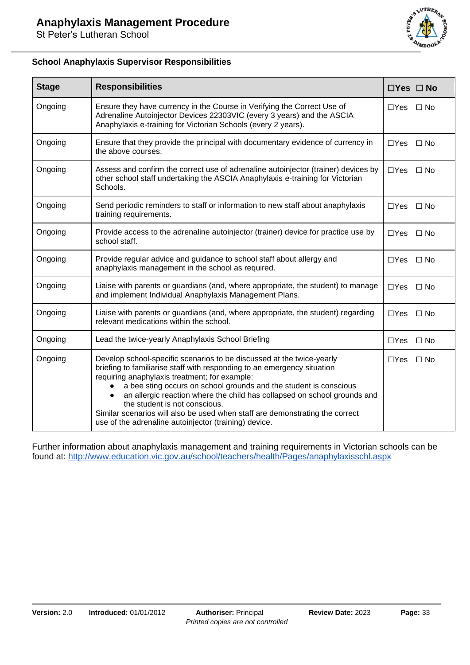

## **School Anaphylaxis Supervisor Responsibilities**

| <b>Stage</b> | <b>Responsibilities</b>                                                                                                                                                                                                                                                                                                                                                                                                                                                                                                      | $\Box$ Yes $\Box$ No        |
|--------------|------------------------------------------------------------------------------------------------------------------------------------------------------------------------------------------------------------------------------------------------------------------------------------------------------------------------------------------------------------------------------------------------------------------------------------------------------------------------------------------------------------------------------|-----------------------------|
| Ongoing      | Ensure they have currency in the Course in Verifying the Correct Use of<br>Adrenaline Autoinjector Devices 22303VIC (every 3 years) and the ASCIA<br>Anaphylaxis e-training for Victorian Schools (every 2 years).                                                                                                                                                                                                                                                                                                           | $\Box$ Yes<br>$\Box$ No     |
| Ongoing      | Ensure that they provide the principal with documentary evidence of currency in<br>the above courses.                                                                                                                                                                                                                                                                                                                                                                                                                        | $\Box$ Yes $\Box$ No        |
| Ongoing      | Assess and confirm the correct use of adrenaline autoinjector (trainer) devices by<br>other school staff undertaking the ASCIA Anaphylaxis e-training for Victorian<br>Schools.                                                                                                                                                                                                                                                                                                                                              | $\Box$ Yes $\Box$ No        |
| Ongoing      | Send periodic reminders to staff or information to new staff about anaphylaxis<br>training requirements.                                                                                                                                                                                                                                                                                                                                                                                                                     | $\Box$ Yes $\Box$ No        |
| Ongoing      | Provide access to the adrenaline autoinjector (trainer) device for practice use by<br>school staff.                                                                                                                                                                                                                                                                                                                                                                                                                          | $\Box$ Yes $\Box$ No        |
| Ongoing      | Provide regular advice and guidance to school staff about allergy and<br>anaphylaxis management in the school as required.                                                                                                                                                                                                                                                                                                                                                                                                   | $\Box Y$ es<br>$\square$ No |
| Ongoing      | Liaise with parents or guardians (and, where appropriate, the student) to manage<br>and implement Individual Anaphylaxis Management Plans.                                                                                                                                                                                                                                                                                                                                                                                   | $\Box$ Yes<br>$\Box$ No     |
| Ongoing      | Liaise with parents or guardians (and, where appropriate, the student) regarding<br>relevant medications within the school.                                                                                                                                                                                                                                                                                                                                                                                                  | $\Box$ Yes<br>$\square$ No  |
| Ongoing      | Lead the twice-yearly Anaphylaxis School Briefing                                                                                                                                                                                                                                                                                                                                                                                                                                                                            | $\Box$ Yes<br>$\Box$ No     |
| Ongoing      | Develop school-specific scenarios to be discussed at the twice-yearly<br>briefing to familiarise staff with responding to an emergency situation<br>requiring anaphylaxis treatment; for example:<br>a bee sting occurs on school grounds and the student is conscious<br>an allergic reaction where the child has collapsed on school grounds and<br>the student is not conscious.<br>Similar scenarios will also be used when staff are demonstrating the correct<br>use of the adrenaline autoinjector (training) device. | $\Box$ Yes<br>$\Box$ No     |

Further information about anaphylaxis management and training requirements in Victorian schools can be found at:<http://www.education.vic.gov.au/school/teachers/health/Pages/anaphylaxisschl.aspx>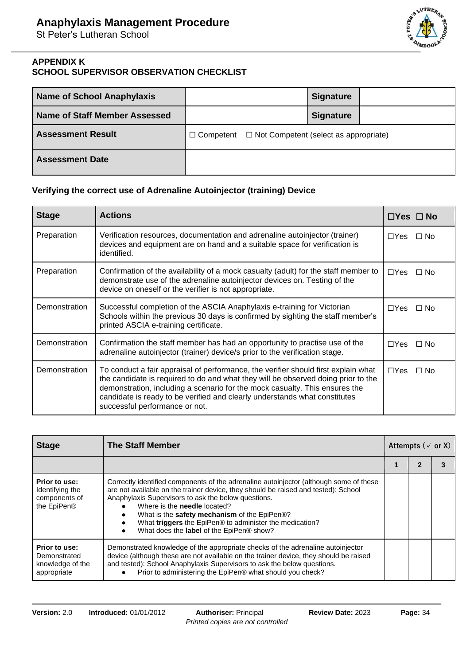

## **APPENDIX K SCHOOL SUPERVISOR OBSERVATION CHECKLIST**

| <b>Name of School Anaphylaxis</b> |                                                               | <b>Signature</b> |  |
|-----------------------------------|---------------------------------------------------------------|------------------|--|
| Name of Staff Member Assessed     |                                                               | Signature        |  |
| <b>Assessment Result</b>          | $\Box$ Competent $\Box$ Not Competent (select as appropriate) |                  |  |
| <b>Assessment Date</b>            |                                                               |                  |  |

## **Verifying the correct use of Adrenaline Autoinjector (training) Device**

| <b>Stage</b>  | <b>Actions</b>                                                                                                                                                                                                                                                                                                                                                         | $\Box$ Yes $\Box$ No |           |
|---------------|------------------------------------------------------------------------------------------------------------------------------------------------------------------------------------------------------------------------------------------------------------------------------------------------------------------------------------------------------------------------|----------------------|-----------|
| Preparation   | Verification resources, documentation and adrenaline autoinjector (trainer)<br>devices and equipment are on hand and a suitable space for verification is<br>identified.                                                                                                                                                                                               | $\Box$ Yes           | $\Box$ No |
| Preparation   | Confirmation of the availability of a mock casualty (adult) for the staff member to<br>demonstrate use of the adrenaline autoinjector devices on. Testing of the<br>device on oneself or the verifier is not appropriate.                                                                                                                                              | $\Box$ Yes           | $\Box$ No |
| Demonstration | Successful completion of the ASCIA Anaphylaxis e-training for Victorian<br>Schools within the previous 30 days is confirmed by sighting the staff member's<br>printed ASCIA e-training certificate.                                                                                                                                                                    | $\Box Y$ es          | $\Box$ No |
| Demonstration | Confirmation the staff member has had an opportunity to practise use of the<br>adrenaline autoinjector (trainer) device/s prior to the verification stage.                                                                                                                                                                                                             | $\Box Y$ es          | $\Box$ No |
| Demonstration | To conduct a fair appraisal of performance, the verifier should first explain what<br>the candidate is required to do and what they will be observed doing prior to the<br>demonstration, including a scenario for the mock casualty. This ensures the<br>candidate is ready to be verified and clearly understands what constitutes<br>successful performance or not. | $\Box$ Yes           | $\Box$ No |

| <b>Stage</b>                                                     | <b>The Staff Member</b>                                                                                                                                                                                                                                                                                                                                                                                                           | Attempts ( $\vee$ or X) |  |  |
|------------------------------------------------------------------|-----------------------------------------------------------------------------------------------------------------------------------------------------------------------------------------------------------------------------------------------------------------------------------------------------------------------------------------------------------------------------------------------------------------------------------|-------------------------|--|--|
|                                                                  |                                                                                                                                                                                                                                                                                                                                                                                                                                   |                         |  |  |
| Prior to use:<br>Identifying the<br>components of<br>the EpiPen® | Correctly identified components of the adrenaline autoinjector (although some of these<br>are not available on the trainer device, they should be raised and tested): School<br>Anaphylaxis Supervisors to ask the below questions.<br>Where is the <b>needle</b> located?<br>What is the safety mechanism of the EpiPen®?<br>What triggers the EpiPen® to administer the medication?<br>What does the label of the EpiPen® show? |                         |  |  |
| Prior to use:<br>Demonstrated<br>knowledge of the<br>appropriate | Demonstrated knowledge of the appropriate checks of the adrenaline autoinjector<br>device (although these are not available on the trainer device, they should be raised<br>and tested): School Anaphylaxis Supervisors to ask the below questions.<br>Prior to administering the EpiPen® what should you check?                                                                                                                  |                         |  |  |